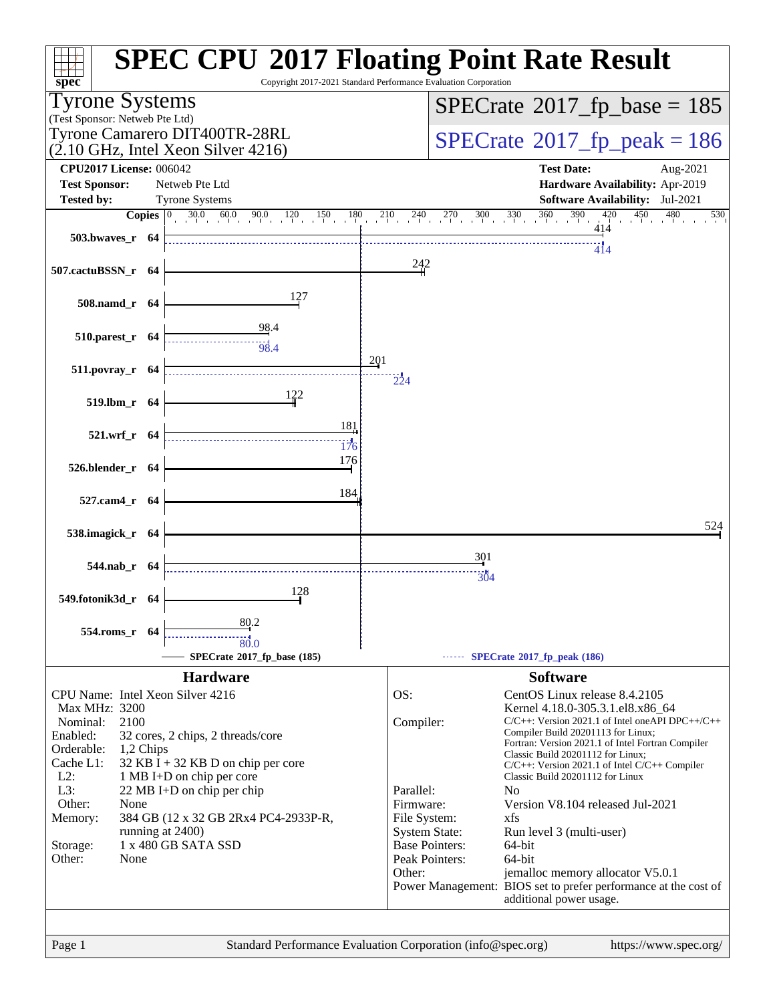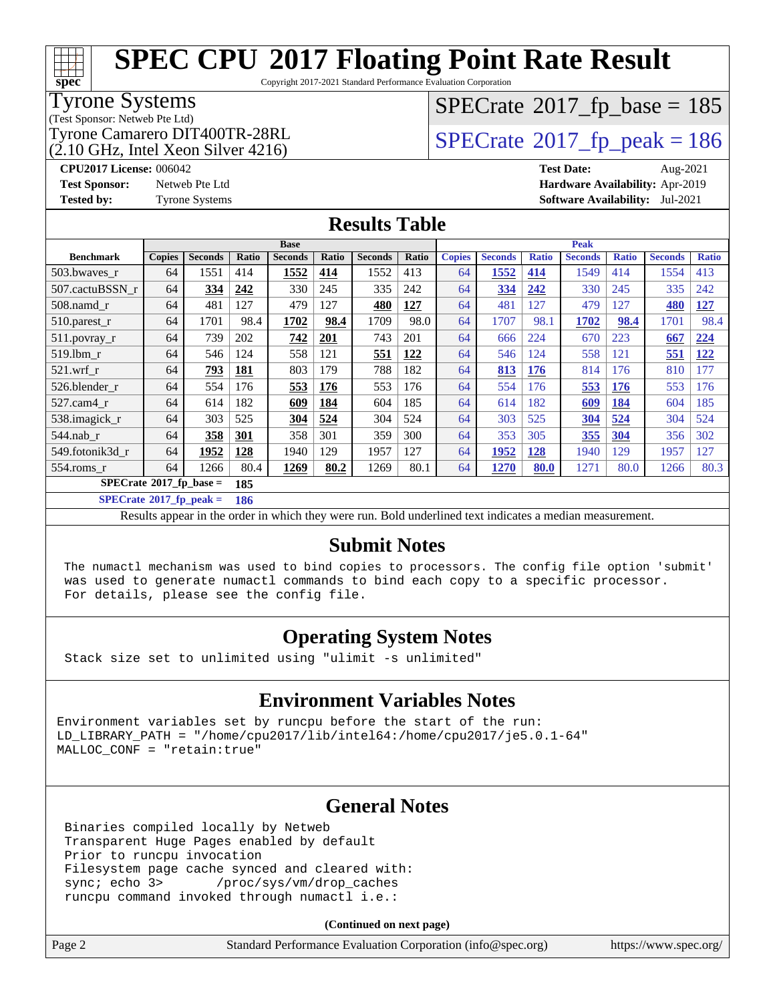Copyright 2017-2021 Standard Performance Evaluation Corporation

#### Tyrone Systems

(Test Sponsor: Netweb Pte Ltd)

 $(2.10 \text{ GHz}, \text{Intel Xeon Silver } 4216)$ 

### $SPECTate$ <sup>®</sup>[2017\\_fp\\_base =](http://www.spec.org/auto/cpu2017/Docs/result-fields.html#SPECrate2017fpbase) 185

Tyrone Camarero DIT400TR-28RL  $\begin{array}{c|c}\n\text{SPECrate} \textcirc 2017\_fp\_peak = 186 \\
\hline\n\end{array}$  $\begin{array}{c|c}\n\text{SPECrate} \textcirc 2017\_fp\_peak = 186 \\
\hline\n\end{array}$  $\begin{array}{c|c}\n\text{SPECrate} \textcirc 2017\_fp\_peak = 186 \\
\hline\n\end{array}$ 

**[CPU2017 License:](http://www.spec.org/auto/cpu2017/Docs/result-fields.html#CPU2017License)** 006042 **[Test Date:](http://www.spec.org/auto/cpu2017/Docs/result-fields.html#TestDate)** Aug-2021 **[Test Sponsor:](http://www.spec.org/auto/cpu2017/Docs/result-fields.html#TestSponsor)** Netweb Pte Ltd **[Hardware Availability:](http://www.spec.org/auto/cpu2017/Docs/result-fields.html#HardwareAvailability)** Apr-2019 **[Tested by:](http://www.spec.org/auto/cpu2017/Docs/result-fields.html#Testedby)** Tyrone Systems **[Software Availability:](http://www.spec.org/auto/cpu2017/Docs/result-fields.html#SoftwareAvailability)** Jul-2021

#### **[Results Table](http://www.spec.org/auto/cpu2017/Docs/result-fields.html#ResultsTable)**

|                                        |               |                |       | <b>Base</b>    |            |                |       |               |                |              | <b>Peak</b>    |              |                |              |
|----------------------------------------|---------------|----------------|-------|----------------|------------|----------------|-------|---------------|----------------|--------------|----------------|--------------|----------------|--------------|
| <b>Benchmark</b>                       | <b>Copies</b> | <b>Seconds</b> | Ratio | <b>Seconds</b> | Ratio      | <b>Seconds</b> | Ratio | <b>Copies</b> | <b>Seconds</b> | <b>Ratio</b> | <b>Seconds</b> | <b>Ratio</b> | <b>Seconds</b> | <b>Ratio</b> |
| 503.bwayes r                           | 64            | 1551           | 414   | 1552           | 414        | 1552           | 413   | 64            | 1552           | 414          | 1549           | 414          | 1554           | 413          |
| 507.cactuBSSN r                        | 64            | 334            | 242   | 330            | 245        | 335            | 242   | 64            | 334            | 242          | 330            | 245          | 335            | 242          |
| $508$ .namd $r$                        | 64            | 481            | 127   | 479            | 127        | 480            | 127   | 64            | 481            | 127          | 479            | 127          | 480            | <u>127</u>   |
| 510.parest_r                           | 64            | 1701           | 98.4  | 1702           | 98.4       | 1709           | 98.0  | 64            | 1707           | 98.1         | 1702           | 98.4         | 1701           | 98.4         |
| 511.povray_r                           | 64            | 739            | 202   | 742            | <b>201</b> | 743            | 201   | 64            | 666            | 224          | 670            | 223          | 667            | 224          |
| 519.lbm_r                              | 64            | 546            | 124   | 558            | 121        | 551            | 122   | 64            | 546            | 124          | 558            | 121          | 551            | <u>122</u>   |
| $521.wrf_r$                            | 64            | <u>793</u>     | 181   | 803            | 179        | 788            | 182   | 64            | 813            | <b>176</b>   | 814            | 176          | 810            | 177          |
| 526.blender r                          | 64            | 554            | 176   | 553            | 176        | 553            | 176   | 64            | 554            | 176          | 553            | <b>176</b>   | 553            | 176          |
| 527.cam4 r                             | 64            | 614            | 182   | 609            | 184        | 604            | 185   | 64            | 614            | 182          | 609            | 184          | 604            | 185          |
| 538.imagick_r                          | 64            | 303            | 525   | 304            | 524        | 304            | 524   | 64            | 303            | 525          | 304            | 524          | 304            | 524          |
| $544$ .nab_r                           | 64            | 358            | 301   | 358            | 301        | 359            | 300   | 64            | 353            | 305          | 355            | 304          | 356            | 302          |
| 549.fotonik3d r                        | 64            | 1952           | 128   | 1940           | 129        | 1957           | 127   | 64            | 1952           | 128          | 1940           | 129          | 1957           | 127          |
| $554$ .roms $r$                        | 64            | 1266           | 80.4  | 1269           | 80.2       | 1269           | 80.1  | 64            | 1270           | 80.0         | 1271           | 80.0         | 1266           | 80.3         |
| $SPECrate$ <sup>®</sup> 2017_fp_base = |               |                | 185   |                |            |                |       |               |                |              |                |              |                |              |

**[SPECrate](http://www.spec.org/auto/cpu2017/Docs/result-fields.html#SPECrate2017fppeak)[2017\\_fp\\_peak =](http://www.spec.org/auto/cpu2017/Docs/result-fields.html#SPECrate2017fppeak) 186**

Results appear in the [order in which they were run.](http://www.spec.org/auto/cpu2017/Docs/result-fields.html#RunOrder) Bold underlined text [indicates a median measurement.](http://www.spec.org/auto/cpu2017/Docs/result-fields.html#Median)

#### **[Submit Notes](http://www.spec.org/auto/cpu2017/Docs/result-fields.html#SubmitNotes)**

 The numactl mechanism was used to bind copies to processors. The config file option 'submit' was used to generate numactl commands to bind each copy to a specific processor. For details, please see the config file.

#### **[Operating System Notes](http://www.spec.org/auto/cpu2017/Docs/result-fields.html#OperatingSystemNotes)**

Stack size set to unlimited using "ulimit -s unlimited"

#### **[Environment Variables Notes](http://www.spec.org/auto/cpu2017/Docs/result-fields.html#EnvironmentVariablesNotes)**

Environment variables set by runcpu before the start of the run: LD\_LIBRARY\_PATH = "/home/cpu2017/lib/intel64:/home/cpu2017/je5.0.1-64" MALLOC\_CONF = "retain:true"

#### **[General Notes](http://www.spec.org/auto/cpu2017/Docs/result-fields.html#GeneralNotes)**

 Binaries compiled locally by Netweb Transparent Huge Pages enabled by default Prior to runcpu invocation Filesystem page cache synced and cleared with: sync; echo 3> /proc/sys/vm/drop\_caches runcpu command invoked through numactl i.e.:

**(Continued on next page)**

**[spec](http://www.spec.org/)**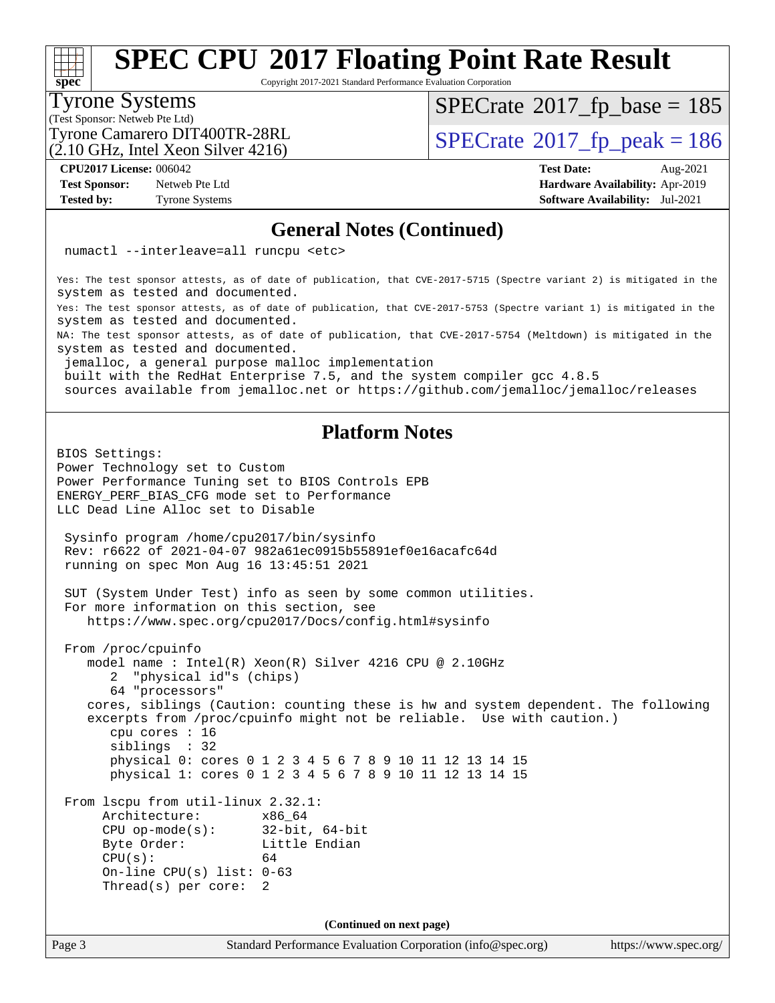Copyright 2017-2021 Standard Performance Evaluation Corporation

#### Tyrone Systems

**[spec](http://www.spec.org/)**

(Test Sponsor: Netweb Pte Ltd)

(2.10 GHz, Intel Xeon Silver 4216)

 $SPECTate$ <sup>®</sup>[2017\\_fp\\_base =](http://www.spec.org/auto/cpu2017/Docs/result-fields.html#SPECrate2017fpbase) 185

Tyrone Camarero DIT400TR-28RL  $\begin{array}{c|c}\n\text{SPECrate} \textcirc 2017\_fp\_peak = 186 \\
\hline\n\end{array}$  $\begin{array}{c|c}\n\text{SPECrate} \textcirc 2017\_fp\_peak = 186 \\
\hline\n\end{array}$  $\begin{array}{c|c}\n\text{SPECrate} \textcirc 2017\_fp\_peak = 186 \\
\hline\n\end{array}$ 

**[Test Sponsor:](http://www.spec.org/auto/cpu2017/Docs/result-fields.html#TestSponsor)** Netweb Pte Ltd **[Hardware Availability:](http://www.spec.org/auto/cpu2017/Docs/result-fields.html#HardwareAvailability)** Apr-2019 **[Tested by:](http://www.spec.org/auto/cpu2017/Docs/result-fields.html#Testedby)** Tyrone Systems **[Software Availability:](http://www.spec.org/auto/cpu2017/Docs/result-fields.html#SoftwareAvailability)** Jul-2021

**[CPU2017 License:](http://www.spec.org/auto/cpu2017/Docs/result-fields.html#CPU2017License)** 006042 **[Test Date:](http://www.spec.org/auto/cpu2017/Docs/result-fields.html#TestDate)** Aug-2021

#### **[General Notes \(Continued\)](http://www.spec.org/auto/cpu2017/Docs/result-fields.html#GeneralNotes)**

numactl --interleave=all runcpu <etc>

Yes: The test sponsor attests, as of date of publication, that CVE-2017-5715 (Spectre variant 2) is mitigated in the system as tested and documented.

Yes: The test sponsor attests, as of date of publication, that CVE-2017-5753 (Spectre variant 1) is mitigated in the system as tested and documented.

NA: The test sponsor attests, as of date of publication, that CVE-2017-5754 (Meltdown) is mitigated in the system as tested and documented.

jemalloc, a general purpose malloc implementation

built with the RedHat Enterprise 7.5, and the system compiler gcc 4.8.5

sources available from jemalloc.net or<https://github.com/jemalloc/jemalloc/releases>

#### **[Platform Notes](http://www.spec.org/auto/cpu2017/Docs/result-fields.html#PlatformNotes)**

BIOS Settings: Power Technology set to Custom Power Performance Tuning set to BIOS Controls EPB ENERGY\_PERF\_BIAS\_CFG mode set to Performance LLC Dead Line Alloc set to Disable Sysinfo program /home/cpu2017/bin/sysinfo Rev: r6622 of 2021-04-07 982a61ec0915b55891ef0e16acafc64d running on spec Mon Aug 16 13:45:51 2021 SUT (System Under Test) info as seen by some common utilities. For more information on this section, see <https://www.spec.org/cpu2017/Docs/config.html#sysinfo> From /proc/cpuinfo model name : Intel(R) Xeon(R) Silver 4216 CPU @ 2.10GHz 2 "physical id"s (chips) 64 "processors" cores, siblings (Caution: counting these is hw and system dependent. The following excerpts from /proc/cpuinfo might not be reliable. Use with caution.) cpu cores : 16 siblings : 32 physical 0: cores 0 1 2 3 4 5 6 7 8 9 10 11 12 13 14 15 physical 1: cores 0 1 2 3 4 5 6 7 8 9 10 11 12 13 14 15 From lscpu from util-linux 2.32.1: Architecture: x86\_64 CPU op-mode(s): 32-bit, 64-bit Byte Order: Little Endian  $CPU(s):$  64 On-line CPU(s) list: 0-63 Thread(s) per core: 2 **(Continued on next page)**

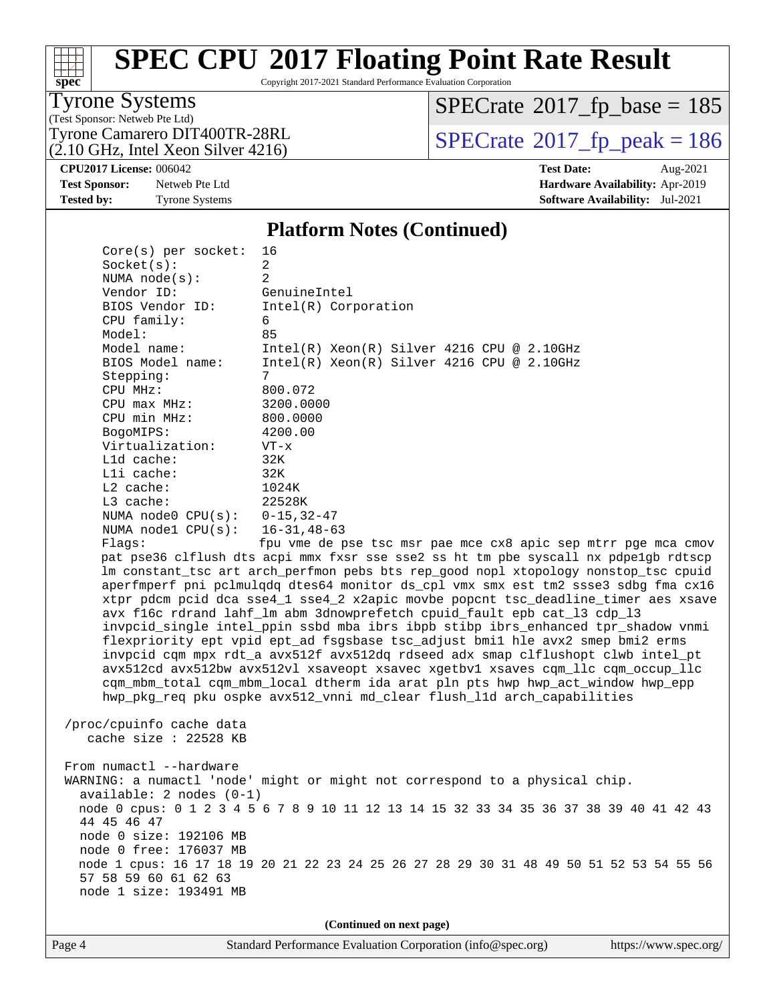# **[spec](http://www.spec.org/)**

# **[SPEC CPU](http://www.spec.org/auto/cpu2017/Docs/result-fields.html#SPECCPU2017FloatingPointRateResult)[2017 Floating Point Rate Result](http://www.spec.org/auto/cpu2017/Docs/result-fields.html#SPECCPU2017FloatingPointRateResult)**

Copyright 2017-2021 Standard Performance Evaluation Corporation

#### Tyrone Systems

(Test Sponsor: Netweb Pte Ltd)  $(2.10 \text{ GHz}, \text{Intel Xeon Silver } 4216)$   $SPECrate$ <sup>®</sup>[2017\\_fp\\_base =](http://www.spec.org/auto/cpu2017/Docs/result-fields.html#SPECrate2017fpbase) 185

Tyrone Camarero DIT400TR-28RL<br>(2.10 GHz, Intel Xeon Silver 4216)  $\text{SPECrate}$  $\text{SPECrate}$  $\text{SPECrate}$ <sup>®</sup>[2017\\_fp\\_peak = 1](http://www.spec.org/auto/cpu2017/Docs/result-fields.html#SPECrate2017fppeak)86

**[Tested by:](http://www.spec.org/auto/cpu2017/Docs/result-fields.html#Testedby)** Tyrone Systems **[Software Availability:](http://www.spec.org/auto/cpu2017/Docs/result-fields.html#SoftwareAvailability)** Jul-2021

**[CPU2017 License:](http://www.spec.org/auto/cpu2017/Docs/result-fields.html#CPU2017License)** 006042 **[Test Date:](http://www.spec.org/auto/cpu2017/Docs/result-fields.html#TestDate)** Aug-2021 **[Test Sponsor:](http://www.spec.org/auto/cpu2017/Docs/result-fields.html#TestSponsor)** Netweb Pte Ltd **[Hardware Availability:](http://www.spec.org/auto/cpu2017/Docs/result-fields.html#HardwareAvailability)** Apr-2019

#### **[Platform Notes \(Continued\)](http://www.spec.org/auto/cpu2017/Docs/result-fields.html#PlatformNotes)**

| $Core(s)$ per socket:                               | 16                                                                                      |
|-----------------------------------------------------|-----------------------------------------------------------------------------------------|
| Socket(s):                                          | $\overline{a}$                                                                          |
| NUMA $node(s):$                                     | 2                                                                                       |
| Vendor ID:                                          | GenuineIntel                                                                            |
| BIOS Vendor ID:                                     | Intel(R) Corporation                                                                    |
| CPU family:                                         | 6                                                                                       |
| Model:                                              | 85                                                                                      |
| Model name:                                         | $Intel(R) Xeon(R) Silver 4216 CPU @ 2.10GHz$                                            |
| BIOS Model name:                                    | Intel(R) Xeon(R) Silver 4216 CPU @ 2.10GHz                                              |
| Stepping:                                           | 7                                                                                       |
| CPU MHz:<br>CPU max MHz:                            | 800.072                                                                                 |
| CPU min MHz:                                        | 3200.0000<br>800.0000                                                                   |
| BogoMIPS:                                           | 4200.00                                                                                 |
| Virtualization:                                     | $VT - x$                                                                                |
| L1d cache:                                          | 32K                                                                                     |
| Lli cache:                                          | 32K                                                                                     |
| $L2$ cache:                                         | 1024K                                                                                   |
| L3 cache:                                           | 22528K                                                                                  |
| NUMA node0 $CPU(s): 0-15, 32-47$                    |                                                                                         |
| NUMA $node1$ $CPU(s):$                              | $16 - 31, 48 - 63$                                                                      |
| Flaqs:                                              | fpu vme de pse tsc msr pae mce cx8 apic sep mtrr pge mca cmov                           |
|                                                     | pat pse36 clflush dts acpi mmx fxsr sse sse2 ss ht tm pbe syscall nx pdpelgb rdtscp     |
|                                                     | lm constant_tsc art arch_perfmon pebs bts rep_good nopl xtopology nonstop_tsc cpuid     |
|                                                     | aperfmperf pni pclmulqdq dtes64 monitor ds_cpl vmx smx est tm2 ssse3 sdbg fma cx16      |
|                                                     | xtpr pdcm pcid dca sse4_1 sse4_2 x2apic movbe popcnt tsc_deadline_timer aes xsave       |
|                                                     | avx f16c rdrand lahf_lm abm 3dnowprefetch cpuid_fault epb cat_13 cdp_13                 |
|                                                     | invpcid_single intel_ppin ssbd mba ibrs ibpb stibp ibrs_enhanced tpr_shadow vnmi        |
|                                                     | flexpriority ept vpid ept_ad fsgsbase tsc_adjust bmil hle avx2 smep bmi2 erms           |
|                                                     | invpcid cqm mpx rdt_a avx512f avx512dq rdseed adx smap clflushopt clwb intel_pt         |
|                                                     | avx512cd avx512bw avx512vl xsaveopt xsavec xgetbvl xsaves cqm_llc cqm_occup_llc         |
|                                                     | cqm_mbm_total cqm_mbm_local dtherm ida arat pln pts hwp hwp_act_window hwp_epp          |
|                                                     | hwp_pkg_req pku ospke avx512_vnni md_clear flush_11d arch_capabilities                  |
|                                                     |                                                                                         |
| /proc/cpuinfo cache data<br>cache size $: 22528$ KB |                                                                                         |
|                                                     |                                                                                         |
| From numactl --hardware                             |                                                                                         |
|                                                     | WARNING: a numactl 'node' might or might not correspond to a physical chip.             |
| $available: 2 nodes (0-1)$                          |                                                                                         |
|                                                     | node 0 cpus: 0 1 2 3 4 5 6 7 8 9 10 11 12 13 14 15 32 33 34 35 36 37 38 39 40 41 42 43  |
| 44 45 46 47                                         |                                                                                         |
| node 0 size: 192106 MB                              |                                                                                         |
| node 0 free: 176037 MB                              |                                                                                         |
|                                                     | node 1 cpus: 16 17 18 19 20 21 22 23 24 25 26 27 28 29 30 31 48 49 50 51 52 53 54 55 56 |
| 57 58 59 60 61 62 63                                |                                                                                         |
| node 1 size: 193491 MB                              |                                                                                         |
|                                                     |                                                                                         |
|                                                     | (Continued on next page)                                                                |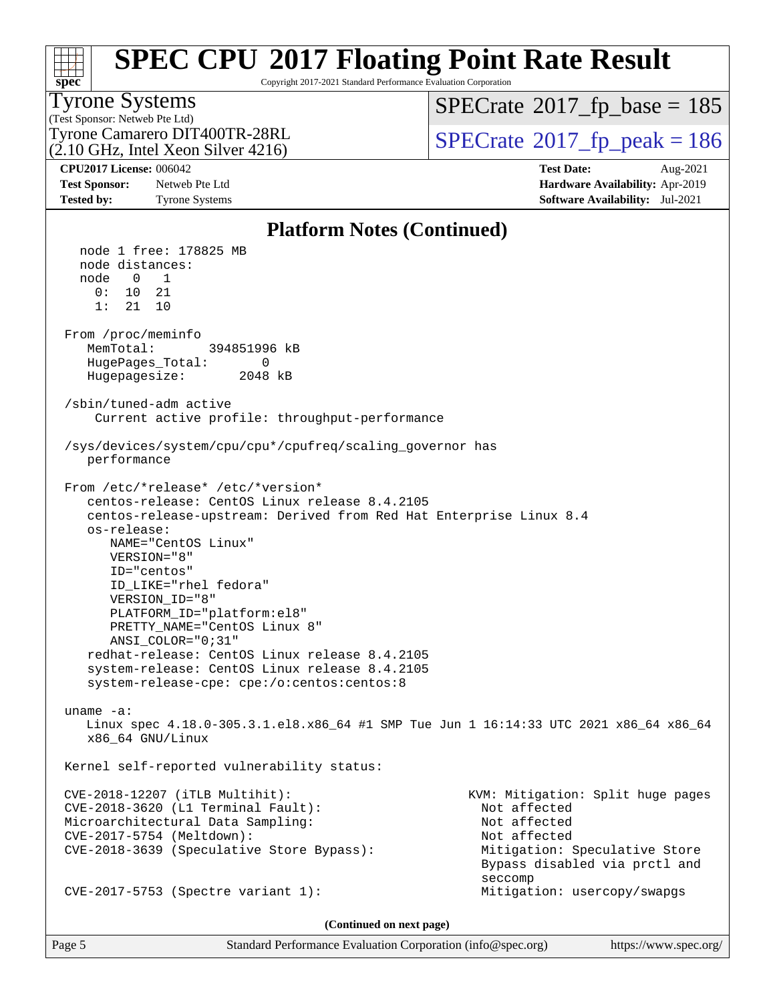#### **[spec](http://www.spec.org/) [SPEC CPU](http://www.spec.org/auto/cpu2017/Docs/result-fields.html#SPECCPU2017FloatingPointRateResult)[2017 Floating Point Rate Result](http://www.spec.org/auto/cpu2017/Docs/result-fields.html#SPECCPU2017FloatingPointRateResult)** Copyright 2017-2021 Standard Performance Evaluation Corporation (Test Sponsor: Netweb Pte Ltd) Tyrone Systems (2.10 GHz, Intel Xeon Silver 4216) Tyrone Camarero DIT400TR-28RL  $\begin{array}{c|c}\n\text{SPECrate} \textcirc 2017\_fp\_peak = 186 \\
\hline\n\end{array}$  $\begin{array}{c|c}\n\text{SPECrate} \textcirc 2017\_fp\_peak = 186 \\
\hline\n\end{array}$  $\begin{array}{c|c}\n\text{SPECrate} \textcirc 2017\_fp\_peak = 186 \\
\hline\n\end{array}$  $SPECTate$ <sup>®</sup>[2017\\_fp\\_base =](http://www.spec.org/auto/cpu2017/Docs/result-fields.html#SPECrate2017fpbase) 185 **[CPU2017 License:](http://www.spec.org/auto/cpu2017/Docs/result-fields.html#CPU2017License)** 006042 **[Test Date:](http://www.spec.org/auto/cpu2017/Docs/result-fields.html#TestDate)** Aug-2021 **[Test Sponsor:](http://www.spec.org/auto/cpu2017/Docs/result-fields.html#TestSponsor)** Netweb Pte Ltd **[Hardware Availability:](http://www.spec.org/auto/cpu2017/Docs/result-fields.html#HardwareAvailability)** Apr-2019 **[Tested by:](http://www.spec.org/auto/cpu2017/Docs/result-fields.html#Testedby)** Tyrone Systems **[Software Availability:](http://www.spec.org/auto/cpu2017/Docs/result-fields.html#SoftwareAvailability)** Jul-2021 **[Platform Notes \(Continued\)](http://www.spec.org/auto/cpu2017/Docs/result-fields.html#PlatformNotes)** node 1 free: 178825 MB node distances: node 0 1 0: 10 21 1: 21 10 From /proc/meminfo MemTotal: 394851996 kB HugePages\_Total: 0 Hugepagesize: 2048 kB /sbin/tuned-adm active Current active profile: throughput-performance /sys/devices/system/cpu/cpu\*/cpufreq/scaling\_governor has performance From /etc/\*release\* /etc/\*version\* centos-release: CentOS Linux release 8.4.2105 centos-release-upstream: Derived from Red Hat Enterprise Linux 8.4 os-release: NAME="CentOS Linux" VERSION="8" ID="centos" ID\_LIKE="rhel fedora" VERSION\_ID="8" PLATFORM\_ID="platform:el8" PRETTY\_NAME="CentOS Linux 8" ANSI\_COLOR="0;31" redhat-release: CentOS Linux release 8.4.2105 system-release: CentOS Linux release 8.4.2105 system-release-cpe: cpe:/o:centos:centos:8 uname -a: Linux spec 4.18.0-305.3.1.el8.x86\_64 #1 SMP Tue Jun 1 16:14:33 UTC 2021 x86\_64 x86\_64 x86\_64 GNU/Linux Kernel self-reported vulnerability status: CVE-2018-12207 (iTLB Multihit): KVM: Mitigation: Split huge pages CVE-2018-3620 (L1 Terminal Fault): Not affected Microarchitectural Data Sampling: Not affected CVE-2017-5754 (Meltdown): Not affected CVE-2018-3639 (Speculative Store Bypass): Mitigation: Speculative Store Bypass disabled via prctl and seccompany and the contract of the contract of the contract of the second seconds of the contract of the contract of the contract of the contract of the contract of the contract of the contract of the contract of the contr CVE-2017-5753 (Spectre variant 1): Mitigation: usercopy/swapgs

**(Continued on next page)**

Page 5 Standard Performance Evaluation Corporation [\(info@spec.org\)](mailto:info@spec.org) <https://www.spec.org/>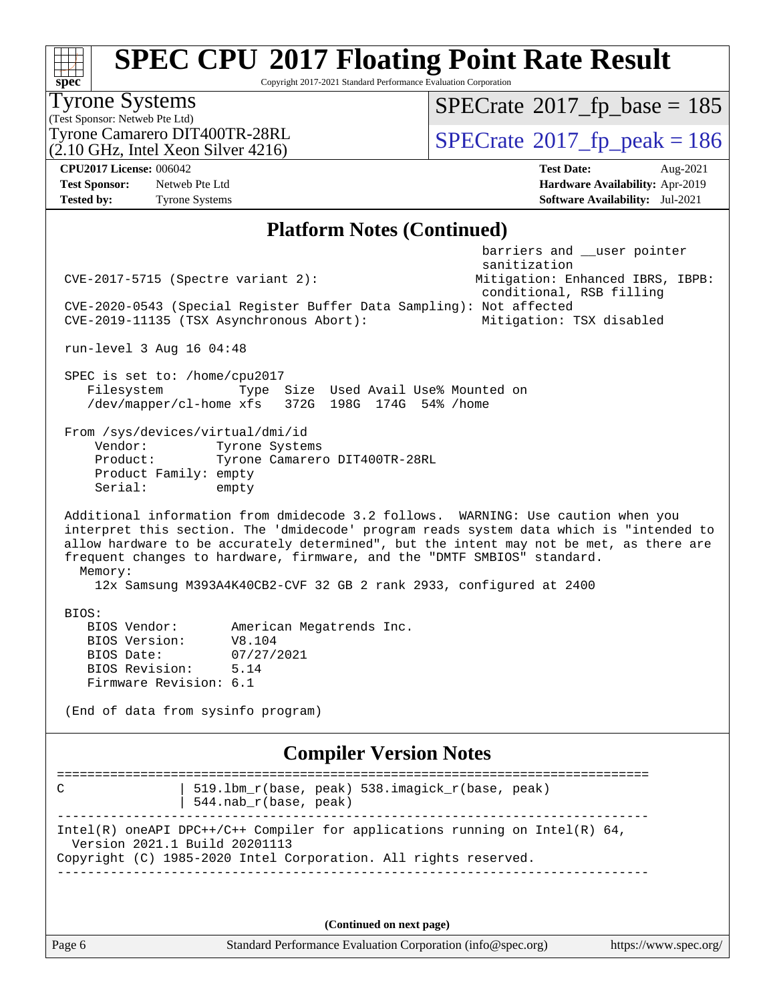Copyright 2017-2021 Standard Performance Evaluation Corporation

(Test Sponsor: Netweb Pte Ltd) Tyrone Systems (2.10 GHz, Intel Xeon Silver 4216) Tyrone Camarero DIT400TR-28RL  $\begin{array}{c|c}\n\text{SPECrate} \textcirc 2017\_fp\_peak = 186 \\
\hline\n\end{array}$  $\begin{array}{c|c}\n\text{SPECrate} \textcirc 2017\_fp\_peak = 186 \\
\hline\n\end{array}$  $\begin{array}{c|c}\n\text{SPECrate} \textcirc 2017\_fp\_peak = 186 \\
\hline\n\end{array}$  $SPECTate$ <sup>®</sup>[2017\\_fp\\_base =](http://www.spec.org/auto/cpu2017/Docs/result-fields.html#SPECrate2017fpbase) 185 **[CPU2017 License:](http://www.spec.org/auto/cpu2017/Docs/result-fields.html#CPU2017License)** 006042 **[Test Date:](http://www.spec.org/auto/cpu2017/Docs/result-fields.html#TestDate)** Aug-2021 **[Test Sponsor:](http://www.spec.org/auto/cpu2017/Docs/result-fields.html#TestSponsor)** Netweb Pte Ltd **[Hardware Availability:](http://www.spec.org/auto/cpu2017/Docs/result-fields.html#HardwareAvailability)** Apr-2019 **[Tested by:](http://www.spec.org/auto/cpu2017/Docs/result-fields.html#Testedby)** Tyrone Systems **[Software Availability:](http://www.spec.org/auto/cpu2017/Docs/result-fields.html#SoftwareAvailability)** Jul-2021 **[Platform Notes \(Continued\)](http://www.spec.org/auto/cpu2017/Docs/result-fields.html#PlatformNotes)** barriers and \_\_user pointer sanitization CVE-2017-5715 (Spectre variant 2): Mitigation: Enhanced IBRS, IBPB: conditional, RSB filling CVE-2020-0543 (Special Register Buffer Data Sampling): Not affected CVE-2019-11135 (TSX Asynchronous Abort): Mitigation: TSX disabled run-level 3 Aug 16 04:48 SPEC is set to: /home/cpu2017 Filesystem Type Size Used Avail Use% Mounted on /dev/mapper/cl-home xfs 372G 198G 174G 54% /home From /sys/devices/virtual/dmi/id Vendor: Tyrone Systems Product: Tyrone Camarero DIT400TR-28RL Product Family: empty Serial: empty Additional information from dmidecode 3.2 follows. WARNING: Use caution when you interpret this section. The 'dmidecode' program reads system data which is "intended to allow hardware to be accurately determined", but the intent may not be met, as there are frequent changes to hardware, firmware, and the "DMTF SMBIOS" standard. Memory: 12x Samsung M393A4K40CB2-CVF 32 GB 2 rank 2933, configured at 2400 BIOS: BIOS Vendor: American Megatrends Inc. BIOS Version: V8.104 BIOS Date: 07/27/2021 BIOS Revision: 5.14 Firmware Revision: 6.1 (End of data from sysinfo program) **[Compiler Version Notes](http://www.spec.org/auto/cpu2017/Docs/result-fields.html#CompilerVersionNotes)** ============================================================================== C | 519.lbm\_r(base, peak) 538.imagick\_r(base, peak) | 544.nab\_r(base, peak) ------------------------------------------------------------------------------ Intel(R) oneAPI DPC++/C++ Compiler for applications running on Intel(R)  $64$ , Version 2021.1 Build 20201113 Copyright (C) 1985-2020 Intel Corporation. All rights reserved. ------------------------------------------------------------------------------

**(Continued on next page)**

**[spec](http://www.spec.org/)**

Page 6 Standard Performance Evaluation Corporation [\(info@spec.org\)](mailto:info@spec.org) <https://www.spec.org/>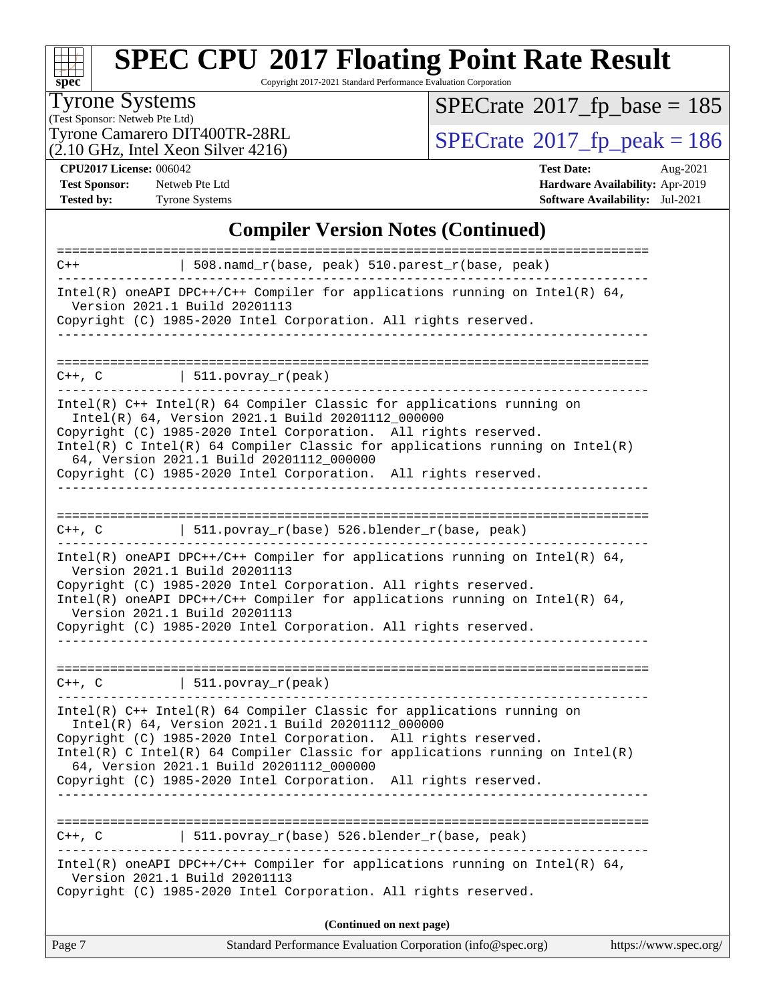

Copyright 2017-2021 Standard Performance Evaluation Corporation

#### Tyrone Systems

(Test Sponsor: Netweb Pte Ltd)  $(2.10 \text{ GHz}, \text{Intel Xeon Silver } 4216)$   $SPECrate$ <sup>®</sup>[2017\\_fp\\_base =](http://www.spec.org/auto/cpu2017/Docs/result-fields.html#SPECrate2017fpbase) 185

Tyrone Camarero DIT400TR-28RL  $(2.10 \text{ GHz})$  Intel Xeon Silver 4216)<br> $\big|$  [SPECrate](http://www.spec.org/auto/cpu2017/Docs/result-fields.html#SPECrate2017fppeak)®[2017\\_fp\\_peak = 1](http://www.spec.org/auto/cpu2017/Docs/result-fields.html#SPECrate2017fppeak)86

**[CPU2017 License:](http://www.spec.org/auto/cpu2017/Docs/result-fields.html#CPU2017License)** 006042 **[Test Date:](http://www.spec.org/auto/cpu2017/Docs/result-fields.html#TestDate)** Aug-2021 **[Test Sponsor:](http://www.spec.org/auto/cpu2017/Docs/result-fields.html#TestSponsor)** Netweb Pte Ltd **[Hardware Availability:](http://www.spec.org/auto/cpu2017/Docs/result-fields.html#HardwareAvailability)** Apr-2019 **[Tested by:](http://www.spec.org/auto/cpu2017/Docs/result-fields.html#Testedby)** Tyrone Systems **[Software Availability:](http://www.spec.org/auto/cpu2017/Docs/result-fields.html#SoftwareAvailability)** Jul-2021

#### **[Compiler Version Notes \(Continued\)](http://www.spec.org/auto/cpu2017/Docs/result-fields.html#CompilerVersionNotes)**

| C++, C                                   | 511.povray_r(base) 526.blender_r(base, peak)<br>Intel(R) oneAPI DPC++/C++ Compiler for applications running on Intel(R) $64$ ,<br>Version 2021.1 Build 20201113<br>Copyright (C) 1985-2020 Intel Corporation. All rights reserved.<br>(Continued on next page)                                                                                                        |
|------------------------------------------|-----------------------------------------------------------------------------------------------------------------------------------------------------------------------------------------------------------------------------------------------------------------------------------------------------------------------------------------------------------------------|
|                                          |                                                                                                                                                                                                                                                                                                                                                                       |
|                                          |                                                                                                                                                                                                                                                                                                                                                                       |
|                                          |                                                                                                                                                                                                                                                                                                                                                                       |
|                                          | Copyright (C) 1985-2020 Intel Corporation. All rights reserved.                                                                                                                                                                                                                                                                                                       |
|                                          | Copyright (C) 1985-2020 Intel Corporation. All rights reserved.<br>Intel(R) C Intel(R) 64 Compiler Classic for applications running on Intel(R)<br>64, Version 2021.1 Build 20201112_000000                                                                                                                                                                           |
|                                          | Intel(R) C++ Intel(R) 64 Compiler Classic for applications running on<br>Intel(R) 64, Version 2021.1 Build 20201112_000000                                                                                                                                                                                                                                            |
|                                          | $C++$ , C $\qquad \qquad$ 511.povray_r(peak)                                                                                                                                                                                                                                                                                                                          |
|                                          | Intel(R) oneAPI DPC++/C++ Compiler for applications running on Intel(R) $64$ ,<br>Version 2021.1 Build 20201113<br>Copyright (C) 1985-2020 Intel Corporation. All rights reserved.<br>Intel(R) oneAPI DPC++/C++ Compiler for applications running on Intel(R) 64,<br>Version 2021.1 Build 20201113<br>Copyright (C) 1985-2020 Intel Corporation. All rights reserved. |
| =========================<br>$C++$ , $C$ | 511.povray_r(base) 526.blender_r(base, peak)                                                                                                                                                                                                                                                                                                                          |
|                                          | 64, Version 2021.1 Build 20201112_000000<br>Copyright (C) 1985-2020 Intel Corporation. All rights reserved.                                                                                                                                                                                                                                                           |
|                                          | $Intel(R)$ C++ Intel(R) 64 Compiler Classic for applications running on<br>Intel(R) 64, Version 2021.1 Build 20201112 000000<br>Copyright (C) 1985-2020 Intel Corporation. All rights reserved.<br>Intel(R) C Intel(R) 64 Compiler Classic for applications running on Intel(R)                                                                                       |
| $C++$ , $C$                              | 511. povray_r(peak)                                                                                                                                                                                                                                                                                                                                                   |
|                                          | Version 2021.1 Build 20201113<br>Copyright (C) 1985-2020 Intel Corporation. All rights reserved.                                                                                                                                                                                                                                                                      |
|                                          | Intel(R) oneAPI DPC++/C++ Compiler for applications running on Intel(R) $64$ ,                                                                                                                                                                                                                                                                                        |
|                                          | 508.namd_r(base, peak) 510.parest_r(base, peak)                                                                                                                                                                                                                                                                                                                       |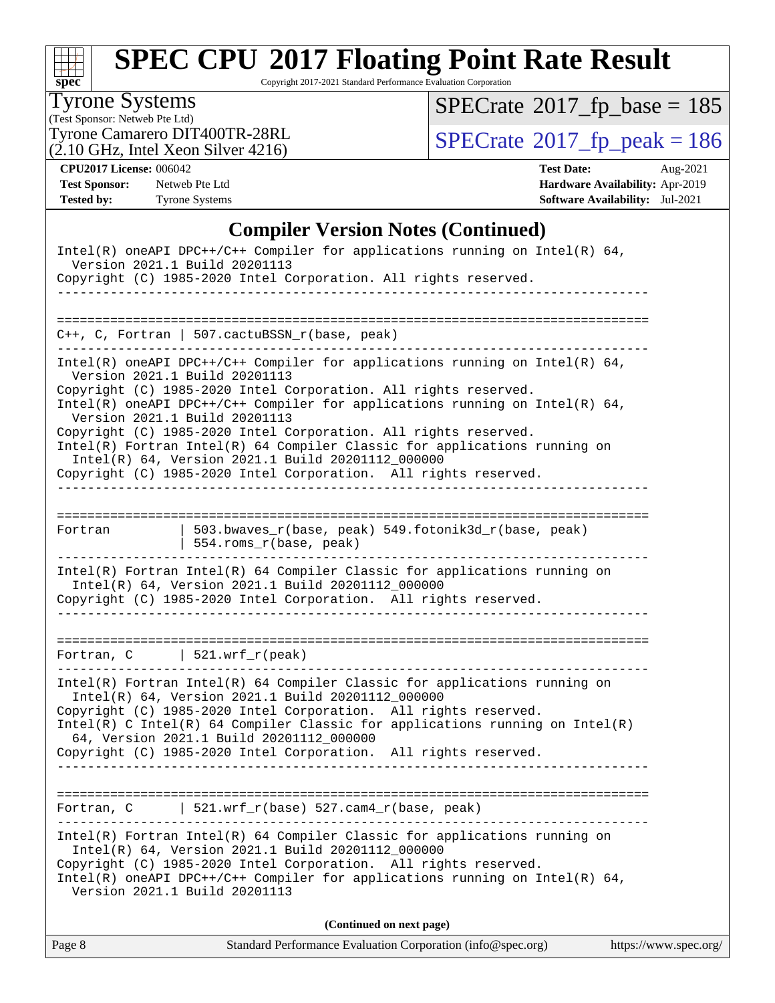

Copyright 2017-2021 Standard Performance Evaluation Corporation

#### Tyrone Systems

(Test Sponsor: Netweb Pte Ltd)  $(2.10 \text{ GHz}, \text{Intel Xeon Silver } 4216)$   $SPECrate$ <sup>®</sup>[2017\\_fp\\_base =](http://www.spec.org/auto/cpu2017/Docs/result-fields.html#SPECrate2017fpbase) 185

Tyrone Camarero DIT400TR-28RL  $(2.10 \text{ GHz})$  Intel Xeon Silver 4216)<br> $\big|$  [SPECrate](http://www.spec.org/auto/cpu2017/Docs/result-fields.html#SPECrate2017fppeak)®[2017\\_fp\\_peak = 1](http://www.spec.org/auto/cpu2017/Docs/result-fields.html#SPECrate2017fppeak)86

**[Test Sponsor:](http://www.spec.org/auto/cpu2017/Docs/result-fields.html#TestSponsor)** Netweb Pte Ltd **[Hardware Availability:](http://www.spec.org/auto/cpu2017/Docs/result-fields.html#HardwareAvailability)** Apr-2019 **[Tested by:](http://www.spec.org/auto/cpu2017/Docs/result-fields.html#Testedby)** Tyrone Systems **[Software Availability:](http://www.spec.org/auto/cpu2017/Docs/result-fields.html#SoftwareAvailability)** Jul-2021

**[CPU2017 License:](http://www.spec.org/auto/cpu2017/Docs/result-fields.html#CPU2017License)** 006042 **[Test Date:](http://www.spec.org/auto/cpu2017/Docs/result-fields.html#TestDate)** Aug-2021

#### **[Compiler Version Notes \(Continued\)](http://www.spec.org/auto/cpu2017/Docs/result-fields.html#CompilerVersionNotes)**

| Intel(R) oneAPI DPC++/C++ Compiler for applications running on Intel(R) $64$ ,<br>Version 2021.1 Build 20201113<br>Copyright (C) 1985-2020 Intel Corporation. All rights reserved.                                                                                                                                                                                                                                                                                                                                                                                           |
|------------------------------------------------------------------------------------------------------------------------------------------------------------------------------------------------------------------------------------------------------------------------------------------------------------------------------------------------------------------------------------------------------------------------------------------------------------------------------------------------------------------------------------------------------------------------------|
|                                                                                                                                                                                                                                                                                                                                                                                                                                                                                                                                                                              |
| $C++$ , C, Fortran   507.cactuBSSN_r(base, peak)                                                                                                                                                                                                                                                                                                                                                                                                                                                                                                                             |
| $Intel(R)$ oneAPI DPC++/C++ Compiler for applications running on Intel(R) 64,<br>Version 2021.1 Build 20201113<br>Copyright (C) 1985-2020 Intel Corporation. All rights reserved.<br>Intel(R) oneAPI DPC++/C++ Compiler for applications running on Intel(R) $64$ ,<br>Version 2021.1 Build 20201113<br>Copyright (C) 1985-2020 Intel Corporation. All rights reserved.<br>Intel(R) Fortran Intel(R) 64 Compiler Classic for applications running on<br>Intel(R) 64, Version 2021.1 Build 20201112_000000<br>Copyright (C) 1985-2020 Intel Corporation. All rights reserved. |
| 503.bwaves_r(base, peak) 549.fotonik3d_r(base, peak)<br>Fortran<br>554.roms_r(base, peak)                                                                                                                                                                                                                                                                                                                                                                                                                                                                                    |
| Intel(R) Fortran Intel(R) 64 Compiler Classic for applications running on<br>Intel(R) 64, Version 2021.1 Build 20201112_000000<br>Copyright (C) 1985-2020 Intel Corporation. All rights reserved.                                                                                                                                                                                                                                                                                                                                                                            |
| Fortran, $C$   521.wrf_r(peak)                                                                                                                                                                                                                                                                                                                                                                                                                                                                                                                                               |
| $Intel(R)$ Fortran Intel(R) 64 Compiler Classic for applications running on<br>Intel(R) 64, Version 2021.1 Build 20201112_000000<br>Copyright (C) 1985-2020 Intel Corporation. All rights reserved.<br>Intel(R) C Intel(R) 64 Compiler Classic for applications running on Intel(R)<br>64, Version 2021.1 Build 20201112_000000<br>Copyright (C) 1985-2020 Intel Corporation. All rights reserved.                                                                                                                                                                           |
| $ $ 521.wrf_r(base) 527.cam4_r(base, peak)<br>Fortran, C                                                                                                                                                                                                                                                                                                                                                                                                                                                                                                                     |
| $Intel(R)$ Fortran Intel(R) 64 Compiler Classic for applications running on<br>Intel(R) 64, Version 2021.1 Build 20201112_000000<br>Copyright (C) 1985-2020 Intel Corporation. All rights reserved.<br>Intel(R) oneAPI DPC++/C++ Compiler for applications running on Intel(R) $64$ ,<br>Version 2021.1 Build 20201113                                                                                                                                                                                                                                                       |
| (Continued on next page)                                                                                                                                                                                                                                                                                                                                                                                                                                                                                                                                                     |

|  | Page 8 | Standard Performance Evaluation Corporation (info@spec.org) | https://www.spec.org/ |
|--|--------|-------------------------------------------------------------|-----------------------|
|--|--------|-------------------------------------------------------------|-----------------------|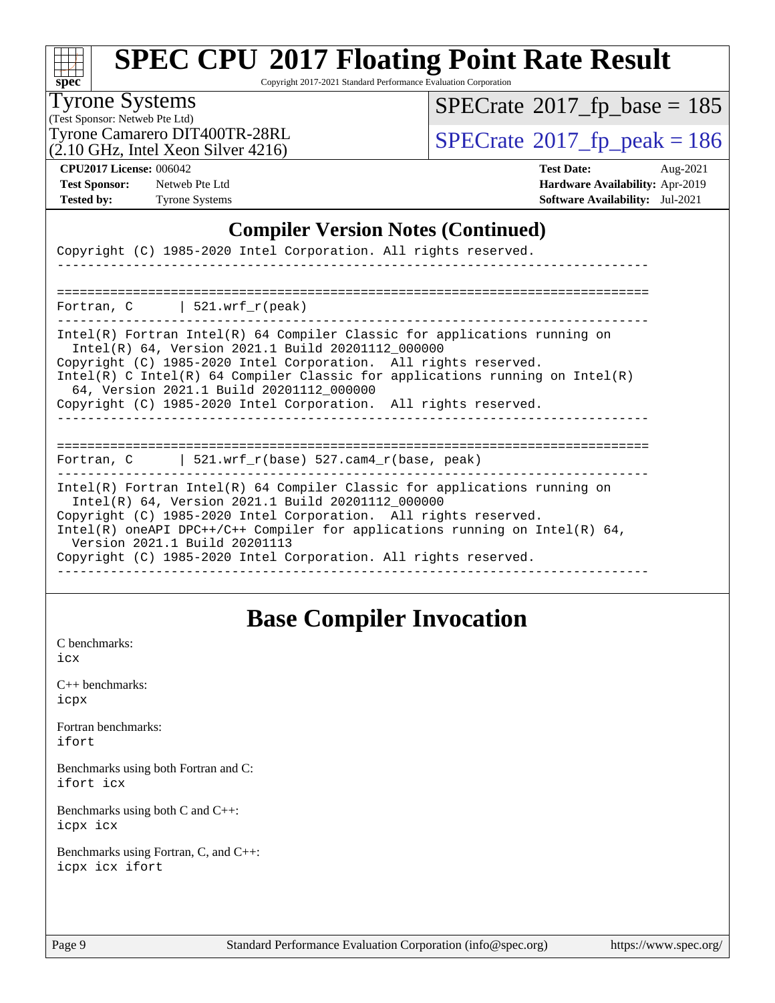

Copyright 2017-2021 Standard Performance Evaluation Corporation

### Tyrone Systems

(Test Sponsor: Netweb Pte Ltd) (2.10 GHz, Intel Xeon Silver 4216)  $SPECrate$ <sup>®</sup>[2017\\_fp\\_base =](http://www.spec.org/auto/cpu2017/Docs/result-fields.html#SPECrate2017fpbase) 185

Tyrone Camarero DIT400TR-28RL  $\begin{array}{c|c}\n\text{SPECrate} \textcirc 2017\_fp\_peak = 186 \\
\hline\n\end{array}$  $\begin{array}{c|c}\n\text{SPECrate} \textcirc 2017\_fp\_peak = 186 \\
\hline\n\end{array}$  $\begin{array}{c|c}\n\text{SPECrate} \textcirc 2017\_fp\_peak = 186 \\
\hline\n\end{array}$ 

**[CPU2017 License:](http://www.spec.org/auto/cpu2017/Docs/result-fields.html#CPU2017License)** 006042 **[Test Date:](http://www.spec.org/auto/cpu2017/Docs/result-fields.html#TestDate)** Aug-2021 **[Test Sponsor:](http://www.spec.org/auto/cpu2017/Docs/result-fields.html#TestSponsor)** Netweb Pte Ltd **[Hardware Availability:](http://www.spec.org/auto/cpu2017/Docs/result-fields.html#HardwareAvailability)** Apr-2019 **[Tested by:](http://www.spec.org/auto/cpu2017/Docs/result-fields.html#Testedby)** Tyrone Systems **[Software Availability:](http://www.spec.org/auto/cpu2017/Docs/result-fields.html#SoftwareAvailability)** Jul-2021

#### **[Compiler Version Notes \(Continued\)](http://www.spec.org/auto/cpu2017/Docs/result-fields.html#CompilerVersionNotes)**

| Copyright (C) 1985-2020 Intel Corporation. All rights reserved.                                                                                                                                                                                                                                                                                                                                    |
|----------------------------------------------------------------------------------------------------------------------------------------------------------------------------------------------------------------------------------------------------------------------------------------------------------------------------------------------------------------------------------------------------|
| Fortran, $C$   521.wrf_r(peak)                                                                                                                                                                                                                                                                                                                                                                     |
| $Intel(R)$ Fortran Intel(R) 64 Compiler Classic for applications running on<br>Intel(R) 64, Version 2021.1 Build 20201112_000000<br>Copyright (C) 1985-2020 Intel Corporation. All rights reserved.<br>Intel(R) C Intel(R) 64 Compiler Classic for applications running on Intel(R)<br>64, Version 2021.1 Build 20201112 000000<br>Copyright (C) 1985-2020 Intel Corporation. All rights reserved. |
| Fortran, C   521.wrf_r(base) 527.cam4_r(base, peak)                                                                                                                                                                                                                                                                                                                                                |
| $Intel(R)$ Fortran Intel(R) 64 Compiler Classic for applications running on<br>Intel(R) 64, Version 2021.1 Build 20201112_000000<br>Copyright (C) 1985-2020 Intel Corporation. All rights reserved.<br>Intel(R) oneAPI DPC++/C++ Compiler for applications running on Intel(R) $64$ ,<br>Version 2021.1 Build 20201113<br>Copyright (C) 1985-2020 Intel Corporation. All rights reserved.          |

### **[Base Compiler Invocation](http://www.spec.org/auto/cpu2017/Docs/result-fields.html#BaseCompilerInvocation)**

[C benchmarks](http://www.spec.org/auto/cpu2017/Docs/result-fields.html#Cbenchmarks): [icx](http://www.spec.org/cpu2017/results/res2021q3/cpu2017-20210824-28885.flags.html#user_CCbase_intel_icx_fe2d28d19ae2a5db7c42fe0f2a2aed77cb715edd4aeb23434404a8be6683fe239869bb6ca8154ca98265c2e3b9226a719a0efe2953a4a7018c379b7010ccf087)

[C++ benchmarks:](http://www.spec.org/auto/cpu2017/Docs/result-fields.html#CXXbenchmarks) [icpx](http://www.spec.org/cpu2017/results/res2021q3/cpu2017-20210824-28885.flags.html#user_CXXbase_intel_icpx_1e918ed14c436bf4b9b7c8bcdd51d4539fc71b3df010bd1e9f8732d9c34c2b2914e48204a846820f3c0ebb4095dea797a5c30b458ac0b6dffac65d78f781f5ca)

[Fortran benchmarks](http://www.spec.org/auto/cpu2017/Docs/result-fields.html#Fortranbenchmarks): [ifort](http://www.spec.org/cpu2017/results/res2021q3/cpu2017-20210824-28885.flags.html#user_FCbase_intel_ifort_8111460550e3ca792625aed983ce982f94888b8b503583aa7ba2b8303487b4d8a21a13e7191a45c5fd58ff318f48f9492884d4413fa793fd88dd292cad7027ca)

[Benchmarks using both Fortran and C](http://www.spec.org/auto/cpu2017/Docs/result-fields.html#BenchmarksusingbothFortranandC): [ifort](http://www.spec.org/cpu2017/results/res2021q3/cpu2017-20210824-28885.flags.html#user_CC_FCbase_intel_ifort_8111460550e3ca792625aed983ce982f94888b8b503583aa7ba2b8303487b4d8a21a13e7191a45c5fd58ff318f48f9492884d4413fa793fd88dd292cad7027ca) [icx](http://www.spec.org/cpu2017/results/res2021q3/cpu2017-20210824-28885.flags.html#user_CC_FCbase_intel_icx_fe2d28d19ae2a5db7c42fe0f2a2aed77cb715edd4aeb23434404a8be6683fe239869bb6ca8154ca98265c2e3b9226a719a0efe2953a4a7018c379b7010ccf087)

[Benchmarks using both C and C++](http://www.spec.org/auto/cpu2017/Docs/result-fields.html#BenchmarksusingbothCandCXX): [icpx](http://www.spec.org/cpu2017/results/res2021q3/cpu2017-20210824-28885.flags.html#user_CC_CXXbase_intel_icpx_1e918ed14c436bf4b9b7c8bcdd51d4539fc71b3df010bd1e9f8732d9c34c2b2914e48204a846820f3c0ebb4095dea797a5c30b458ac0b6dffac65d78f781f5ca) [icx](http://www.spec.org/cpu2017/results/res2021q3/cpu2017-20210824-28885.flags.html#user_CC_CXXbase_intel_icx_fe2d28d19ae2a5db7c42fe0f2a2aed77cb715edd4aeb23434404a8be6683fe239869bb6ca8154ca98265c2e3b9226a719a0efe2953a4a7018c379b7010ccf087)

[Benchmarks using Fortran, C, and C++:](http://www.spec.org/auto/cpu2017/Docs/result-fields.html#BenchmarksusingFortranCandCXX) [icpx](http://www.spec.org/cpu2017/results/res2021q3/cpu2017-20210824-28885.flags.html#user_CC_CXX_FCbase_intel_icpx_1e918ed14c436bf4b9b7c8bcdd51d4539fc71b3df010bd1e9f8732d9c34c2b2914e48204a846820f3c0ebb4095dea797a5c30b458ac0b6dffac65d78f781f5ca) [icx](http://www.spec.org/cpu2017/results/res2021q3/cpu2017-20210824-28885.flags.html#user_CC_CXX_FCbase_intel_icx_fe2d28d19ae2a5db7c42fe0f2a2aed77cb715edd4aeb23434404a8be6683fe239869bb6ca8154ca98265c2e3b9226a719a0efe2953a4a7018c379b7010ccf087) [ifort](http://www.spec.org/cpu2017/results/res2021q3/cpu2017-20210824-28885.flags.html#user_CC_CXX_FCbase_intel_ifort_8111460550e3ca792625aed983ce982f94888b8b503583aa7ba2b8303487b4d8a21a13e7191a45c5fd58ff318f48f9492884d4413fa793fd88dd292cad7027ca)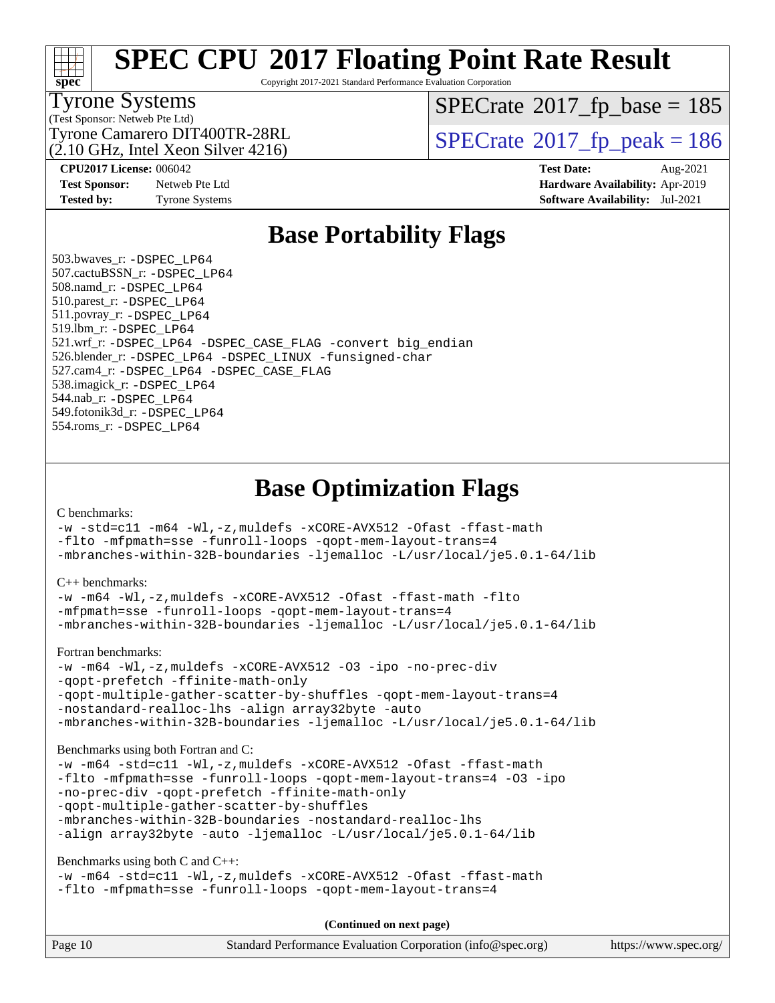

Copyright 2017-2021 Standard Performance Evaluation Corporation

#### Tyrone Systems

(Test Sponsor: Netweb Pte Ltd)

 $SPECTate$ <sup>®</sup>[2017\\_fp\\_base =](http://www.spec.org/auto/cpu2017/Docs/result-fields.html#SPECrate2017fpbase) 185

 $(2.10 \text{ GHz}, \text{Intel Xeon Silver } 4216)$ 

**[Test Sponsor:](http://www.spec.org/auto/cpu2017/Docs/result-fields.html#TestSponsor)** Netweb Pte Ltd **[Hardware Availability:](http://www.spec.org/auto/cpu2017/Docs/result-fields.html#HardwareAvailability)** Apr-2019

Tyrone Camarero DIT400TR-28RL  $\begin{array}{c|c}\n\text{SPECrate} \textcirc 2017\_fp\_peak = 186 \\
\hline\n\end{array}$  $\begin{array}{c|c}\n\text{SPECrate} \textcirc 2017\_fp\_peak = 186 \\
\hline\n\end{array}$  $\begin{array}{c|c}\n\text{SPECrate} \textcirc 2017\_fp\_peak = 186 \\
\hline\n\end{array}$ 

**[CPU2017 License:](http://www.spec.org/auto/cpu2017/Docs/result-fields.html#CPU2017License)** 006042 **[Test Date:](http://www.spec.org/auto/cpu2017/Docs/result-fields.html#TestDate)** Aug-2021 **[Tested by:](http://www.spec.org/auto/cpu2017/Docs/result-fields.html#Testedby)** Tyrone Systems **[Software Availability:](http://www.spec.org/auto/cpu2017/Docs/result-fields.html#SoftwareAvailability)** Jul-2021

### **[Base Portability Flags](http://www.spec.org/auto/cpu2017/Docs/result-fields.html#BasePortabilityFlags)**

 503.bwaves\_r: [-DSPEC\\_LP64](http://www.spec.org/cpu2017/results/res2021q3/cpu2017-20210824-28885.flags.html#suite_basePORTABILITY503_bwaves_r_DSPEC_LP64) 507.cactuBSSN\_r: [-DSPEC\\_LP64](http://www.spec.org/cpu2017/results/res2021q3/cpu2017-20210824-28885.flags.html#suite_basePORTABILITY507_cactuBSSN_r_DSPEC_LP64) 508.namd\_r: [-DSPEC\\_LP64](http://www.spec.org/cpu2017/results/res2021q3/cpu2017-20210824-28885.flags.html#suite_basePORTABILITY508_namd_r_DSPEC_LP64) 510.parest\_r: [-DSPEC\\_LP64](http://www.spec.org/cpu2017/results/res2021q3/cpu2017-20210824-28885.flags.html#suite_basePORTABILITY510_parest_r_DSPEC_LP64) 511.povray\_r: [-DSPEC\\_LP64](http://www.spec.org/cpu2017/results/res2021q3/cpu2017-20210824-28885.flags.html#suite_basePORTABILITY511_povray_r_DSPEC_LP64) 519.lbm\_r: [-DSPEC\\_LP64](http://www.spec.org/cpu2017/results/res2021q3/cpu2017-20210824-28885.flags.html#suite_basePORTABILITY519_lbm_r_DSPEC_LP64) 521.wrf\_r: [-DSPEC\\_LP64](http://www.spec.org/cpu2017/results/res2021q3/cpu2017-20210824-28885.flags.html#suite_basePORTABILITY521_wrf_r_DSPEC_LP64) [-DSPEC\\_CASE\\_FLAG](http://www.spec.org/cpu2017/results/res2021q3/cpu2017-20210824-28885.flags.html#b521.wrf_r_baseCPORTABILITY_DSPEC_CASE_FLAG) [-convert big\\_endian](http://www.spec.org/cpu2017/results/res2021q3/cpu2017-20210824-28885.flags.html#user_baseFPORTABILITY521_wrf_r_convert_big_endian_c3194028bc08c63ac5d04de18c48ce6d347e4e562e8892b8bdbdc0214820426deb8554edfa529a3fb25a586e65a3d812c835984020483e7e73212c4d31a38223) 526.blender\_r: [-DSPEC\\_LP64](http://www.spec.org/cpu2017/results/res2021q3/cpu2017-20210824-28885.flags.html#suite_basePORTABILITY526_blender_r_DSPEC_LP64) [-DSPEC\\_LINUX](http://www.spec.org/cpu2017/results/res2021q3/cpu2017-20210824-28885.flags.html#b526.blender_r_baseCPORTABILITY_DSPEC_LINUX) [-funsigned-char](http://www.spec.org/cpu2017/results/res2021q3/cpu2017-20210824-28885.flags.html#user_baseCPORTABILITY526_blender_r_force_uchar_40c60f00ab013830e2dd6774aeded3ff59883ba5a1fc5fc14077f794d777847726e2a5858cbc7672e36e1b067e7e5c1d9a74f7176df07886a243d7cc18edfe67) 527.cam4\_r: [-DSPEC\\_LP64](http://www.spec.org/cpu2017/results/res2021q3/cpu2017-20210824-28885.flags.html#suite_basePORTABILITY527_cam4_r_DSPEC_LP64) [-DSPEC\\_CASE\\_FLAG](http://www.spec.org/cpu2017/results/res2021q3/cpu2017-20210824-28885.flags.html#b527.cam4_r_baseCPORTABILITY_DSPEC_CASE_FLAG) 538.imagick\_r: [-DSPEC\\_LP64](http://www.spec.org/cpu2017/results/res2021q3/cpu2017-20210824-28885.flags.html#suite_basePORTABILITY538_imagick_r_DSPEC_LP64) 544.nab\_r: [-DSPEC\\_LP64](http://www.spec.org/cpu2017/results/res2021q3/cpu2017-20210824-28885.flags.html#suite_basePORTABILITY544_nab_r_DSPEC_LP64) 549.fotonik3d\_r: [-DSPEC\\_LP64](http://www.spec.org/cpu2017/results/res2021q3/cpu2017-20210824-28885.flags.html#suite_basePORTABILITY549_fotonik3d_r_DSPEC_LP64) 554.roms\_r: [-DSPEC\\_LP64](http://www.spec.org/cpu2017/results/res2021q3/cpu2017-20210824-28885.flags.html#suite_basePORTABILITY554_roms_r_DSPEC_LP64)

### **[Base Optimization Flags](http://www.spec.org/auto/cpu2017/Docs/result-fields.html#BaseOptimizationFlags)**

[C benchmarks](http://www.spec.org/auto/cpu2017/Docs/result-fields.html#Cbenchmarks):

[-w](http://www.spec.org/cpu2017/results/res2021q3/cpu2017-20210824-28885.flags.html#user_CCbase_supress_warning_66fb2c4e5c1dd10f38bdd29623979399e5ae75ae6e5453792d82ef66afed381df4a8602f92cac8d2ea0fffa7b93b4b1ccb9ecad4af01c9b2fe338b2082ae3859) [-std=c11](http://www.spec.org/cpu2017/results/res2021q3/cpu2017-20210824-28885.flags.html#user_CCbase_std-icc-std_0e1c27790398a4642dfca32ffe6c27b5796f9c2d2676156f2e42c9c44eaad0c049b1cdb667a270c34d979996257aeb8fc440bfb01818dbc9357bd9d174cb8524) [-m64](http://www.spec.org/cpu2017/results/res2021q3/cpu2017-20210824-28885.flags.html#user_CCbase_m64-icc) [-Wl,-z,muldefs](http://www.spec.org/cpu2017/results/res2021q3/cpu2017-20210824-28885.flags.html#user_CCbase_link_force_multiple1_b4cbdb97b34bdee9ceefcfe54f4c8ea74255f0b02a4b23e853cdb0e18eb4525ac79b5a88067c842dd0ee6996c24547a27a4b99331201badda8798ef8a743f577) [-xCORE-AVX512](http://www.spec.org/cpu2017/results/res2021q3/cpu2017-20210824-28885.flags.html#user_CCbase_f-xCORE-AVX512) [-Ofast](http://www.spec.org/cpu2017/results/res2021q3/cpu2017-20210824-28885.flags.html#user_CCbase_f-Ofast) [-ffast-math](http://www.spec.org/cpu2017/results/res2021q3/cpu2017-20210824-28885.flags.html#user_CCbase_f-ffast-math) [-flto](http://www.spec.org/cpu2017/results/res2021q3/cpu2017-20210824-28885.flags.html#user_CCbase_f-flto) [-mfpmath=sse](http://www.spec.org/cpu2017/results/res2021q3/cpu2017-20210824-28885.flags.html#user_CCbase_f-mfpmath_70eb8fac26bde974f8ab713bc9086c5621c0b8d2f6c86f38af0bd7062540daf19db5f3a066d8c6684be05d84c9b6322eb3b5be6619d967835195b93d6c02afa1) [-funroll-loops](http://www.spec.org/cpu2017/results/res2021q3/cpu2017-20210824-28885.flags.html#user_CCbase_f-funroll-loops) [-qopt-mem-layout-trans=4](http://www.spec.org/cpu2017/results/res2021q3/cpu2017-20210824-28885.flags.html#user_CCbase_f-qopt-mem-layout-trans_fa39e755916c150a61361b7846f310bcdf6f04e385ef281cadf3647acec3f0ae266d1a1d22d972a7087a248fd4e6ca390a3634700869573d231a252c784941a8) [-mbranches-within-32B-boundaries](http://www.spec.org/cpu2017/results/res2021q3/cpu2017-20210824-28885.flags.html#user_CCbase_f-mbranches-within-32B-boundaries) [-ljemalloc](http://www.spec.org/cpu2017/results/res2021q3/cpu2017-20210824-28885.flags.html#user_CCbase_jemalloc_link_lib_d1249b907c500fa1c0672f44f562e3d0f79738ae9e3c4a9c376d49f265a04b9c99b167ecedbf6711b3085be911c67ff61f150a17b3472be731631ba4d0471706) [-L/usr/local/je5.0.1-64/lib](http://www.spec.org/cpu2017/results/res2021q3/cpu2017-20210824-28885.flags.html#user_CCbase_jemalloc_link_path64_4b10a636b7bce113509b17f3bd0d6226c5fb2346b9178c2d0232c14f04ab830f976640479e5c33dc2bcbbdad86ecfb6634cbbd4418746f06f368b512fced5394)

[C++ benchmarks:](http://www.spec.org/auto/cpu2017/Docs/result-fields.html#CXXbenchmarks)

```
-w -m64 -Wl,-z,muldefs -xCORE-AVX512 -Ofast -ffast-math -flto
-mfpmath=sse -funroll-loops -qopt-mem-layout-trans=4
-mbranches-within-32B-boundaries -ljemalloc -L/usr/local/je5.0.1-64/lib
```
[Fortran benchmarks](http://www.spec.org/auto/cpu2017/Docs/result-fields.html#Fortranbenchmarks):

```
-w -m64 -Wl,-z,muldefs -xCORE-AVX512 -O3 -ipo -no-prec-div
-qopt-prefetch -ffinite-math-only
-qopt-multiple-gather-scatter-by-shuffles -qopt-mem-layout-trans=4
-nostandard-realloc-lhs -align array32byte -auto
-mbranches-within-32B-boundaries -ljemalloc -L/usr/local/je5.0.1-64/lib
```
[Benchmarks using both Fortran and C](http://www.spec.org/auto/cpu2017/Docs/result-fields.html#BenchmarksusingbothFortranandC):

```
-w-m64-Wl,-z,muldefs-xCORE-AVX512-Ofast-ffast-math
-flto -mfpmath=sse -funroll-loops -qopt-mem-layout-trans=4 -O3 -ipo
-no-prec-div -qopt-prefetch -ffinite-math-only
-qopt-multiple-gather-scatter-by-shuffles
-mbranches-within-32B-boundaries -nostandard-realloc-lhs
-align array32byte -auto -ljemalloc -L/usr/local/je5.0.1-64/lib
```
[Benchmarks using both C and C++](http://www.spec.org/auto/cpu2017/Docs/result-fields.html#BenchmarksusingbothCandCXX):

```
-w -m64 -std=c11 -Wl,-z,muldefs -xCORE-AVX512 -Ofast -ffast-math
-flto -mfpmath=sse -funroll-loops -qopt-mem-layout-trans=4
```
**(Continued on next page)**

| Page 10 | Standard Performance Evaluation Corporation (info@spec.org) | https://www.spec.org/ |
|---------|-------------------------------------------------------------|-----------------------|
|         |                                                             |                       |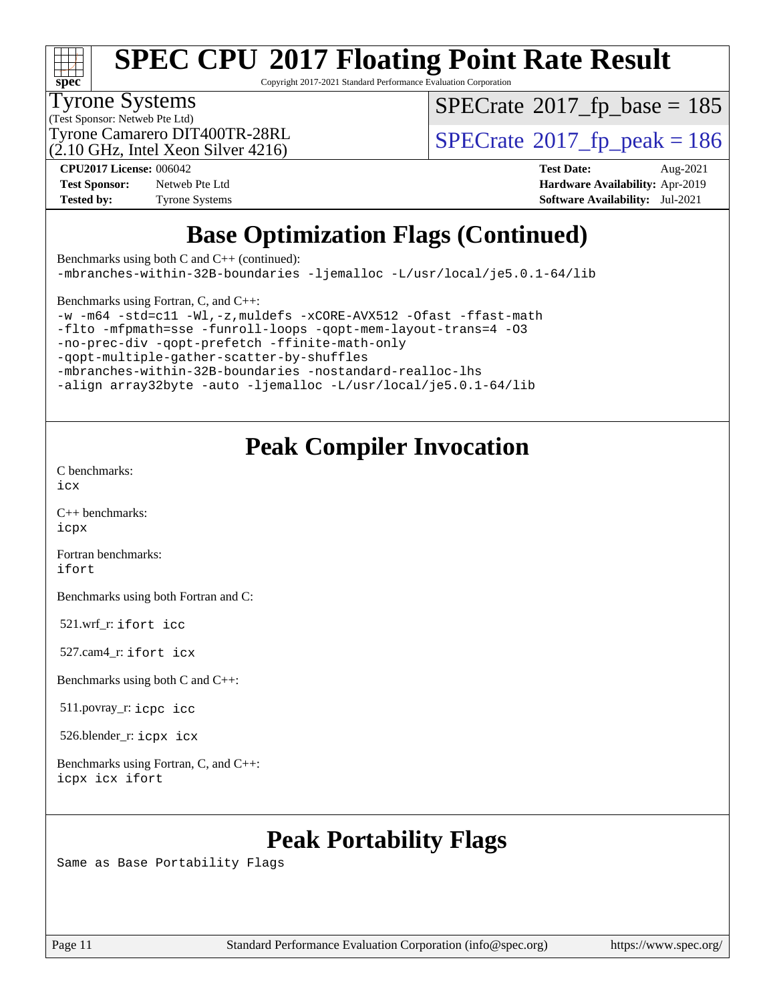

Copyright 2017-2021 Standard Performance Evaluation Corporation

#### Tyrone Systems

(Test Sponsor: Netweb Pte Ltd)

(2.10 GHz, Intel Xeon Silver 4216)

 $SPECTate$ <sup>®</sup>[2017\\_fp\\_base =](http://www.spec.org/auto/cpu2017/Docs/result-fields.html#SPECrate2017fpbase) 185

Tyrone Camarero DIT400TR-28RL  $\begin{array}{c|c}\n\text{SPECrate} \textcirc 2017\_fp\_peak = 186 \\
\hline\n\end{array}$  $\begin{array}{c|c}\n\text{SPECrate} \textcirc 2017\_fp\_peak = 186 \\
\hline\n\end{array}$  $\begin{array}{c|c}\n\text{SPECrate} \textcirc 2017\_fp\_peak = 186 \\
\hline\n\end{array}$ 

**[Test Sponsor:](http://www.spec.org/auto/cpu2017/Docs/result-fields.html#TestSponsor)** Netweb Pte Ltd **[Hardware Availability:](http://www.spec.org/auto/cpu2017/Docs/result-fields.html#HardwareAvailability)** Apr-2019 **[Tested by:](http://www.spec.org/auto/cpu2017/Docs/result-fields.html#Testedby)** Tyrone Systems **[Software Availability:](http://www.spec.org/auto/cpu2017/Docs/result-fields.html#SoftwareAvailability)** Jul-2021

**[CPU2017 License:](http://www.spec.org/auto/cpu2017/Docs/result-fields.html#CPU2017License)** 006042 **[Test Date:](http://www.spec.org/auto/cpu2017/Docs/result-fields.html#TestDate)** Aug-2021

### **[Base Optimization Flags \(Continued\)](http://www.spec.org/auto/cpu2017/Docs/result-fields.html#BaseOptimizationFlags)**

[Benchmarks using both C and C++](http://www.spec.org/auto/cpu2017/Docs/result-fields.html#BenchmarksusingbothCandCXX) (continued): [-mbranches-within-32B-boundaries](http://www.spec.org/cpu2017/results/res2021q3/cpu2017-20210824-28885.flags.html#user_CC_CXXbase_f-mbranches-within-32B-boundaries) [-ljemalloc](http://www.spec.org/cpu2017/results/res2021q3/cpu2017-20210824-28885.flags.html#user_CC_CXXbase_jemalloc_link_lib_d1249b907c500fa1c0672f44f562e3d0f79738ae9e3c4a9c376d49f265a04b9c99b167ecedbf6711b3085be911c67ff61f150a17b3472be731631ba4d0471706) [-L/usr/local/je5.0.1-64/lib](http://www.spec.org/cpu2017/results/res2021q3/cpu2017-20210824-28885.flags.html#user_CC_CXXbase_jemalloc_link_path64_4b10a636b7bce113509b17f3bd0d6226c5fb2346b9178c2d0232c14f04ab830f976640479e5c33dc2bcbbdad86ecfb6634cbbd4418746f06f368b512fced5394) [Benchmarks using Fortran, C, and C++:](http://www.spec.org/auto/cpu2017/Docs/result-fields.html#BenchmarksusingFortranCandCXX) [-w](http://www.spec.org/cpu2017/results/res2021q3/cpu2017-20210824-28885.flags.html#user_CC_CXX_FCbase_supress_warning_66fb2c4e5c1dd10f38bdd29623979399e5ae75ae6e5453792d82ef66afed381df4a8602f92cac8d2ea0fffa7b93b4b1ccb9ecad4af01c9b2fe338b2082ae3859) [-m64](http://www.spec.org/cpu2017/results/res2021q3/cpu2017-20210824-28885.flags.html#user_CC_CXX_FCbase_m64-icc) [-std=c11](http://www.spec.org/cpu2017/results/res2021q3/cpu2017-20210824-28885.flags.html#user_CC_CXX_FCbase_std-icc-std_0e1c27790398a4642dfca32ffe6c27b5796f9c2d2676156f2e42c9c44eaad0c049b1cdb667a270c34d979996257aeb8fc440bfb01818dbc9357bd9d174cb8524) [-Wl,-z,muldefs](http://www.spec.org/cpu2017/results/res2021q3/cpu2017-20210824-28885.flags.html#user_CC_CXX_FCbase_link_force_multiple1_b4cbdb97b34bdee9ceefcfe54f4c8ea74255f0b02a4b23e853cdb0e18eb4525ac79b5a88067c842dd0ee6996c24547a27a4b99331201badda8798ef8a743f577) [-xCORE-AVX512](http://www.spec.org/cpu2017/results/res2021q3/cpu2017-20210824-28885.flags.html#user_CC_CXX_FCbase_f-xCORE-AVX512) [-Ofast](http://www.spec.org/cpu2017/results/res2021q3/cpu2017-20210824-28885.flags.html#user_CC_CXX_FCbase_f-Ofast) [-ffast-math](http://www.spec.org/cpu2017/results/res2021q3/cpu2017-20210824-28885.flags.html#user_CC_CXX_FCbase_f-ffast-math) [-flto](http://www.spec.org/cpu2017/results/res2021q3/cpu2017-20210824-28885.flags.html#user_CC_CXX_FCbase_f-flto) [-mfpmath=sse](http://www.spec.org/cpu2017/results/res2021q3/cpu2017-20210824-28885.flags.html#user_CC_CXX_FCbase_f-mfpmath_70eb8fac26bde974f8ab713bc9086c5621c0b8d2f6c86f38af0bd7062540daf19db5f3a066d8c6684be05d84c9b6322eb3b5be6619d967835195b93d6c02afa1) [-funroll-loops](http://www.spec.org/cpu2017/results/res2021q3/cpu2017-20210824-28885.flags.html#user_CC_CXX_FCbase_f-funroll-loops) [-qopt-mem-layout-trans=4](http://www.spec.org/cpu2017/results/res2021q3/cpu2017-20210824-28885.flags.html#user_CC_CXX_FCbase_f-qopt-mem-layout-trans_fa39e755916c150a61361b7846f310bcdf6f04e385ef281cadf3647acec3f0ae266d1a1d22d972a7087a248fd4e6ca390a3634700869573d231a252c784941a8) [-O3](http://www.spec.org/cpu2017/results/res2021q3/cpu2017-20210824-28885.flags.html#user_CC_CXX_FCbase_f-O3) [-no-prec-div](http://www.spec.org/cpu2017/results/res2021q3/cpu2017-20210824-28885.flags.html#user_CC_CXX_FCbase_f-no-prec-div) [-qopt-prefetch](http://www.spec.org/cpu2017/results/res2021q3/cpu2017-20210824-28885.flags.html#user_CC_CXX_FCbase_f-qopt-prefetch) [-ffinite-math-only](http://www.spec.org/cpu2017/results/res2021q3/cpu2017-20210824-28885.flags.html#user_CC_CXX_FCbase_f_finite_math_only_cb91587bd2077682c4b38af759c288ed7c732db004271a9512da14a4f8007909a5f1427ecbf1a0fb78ff2a814402c6114ac565ca162485bbcae155b5e4258871) [-qopt-multiple-gather-scatter-by-shuffles](http://www.spec.org/cpu2017/results/res2021q3/cpu2017-20210824-28885.flags.html#user_CC_CXX_FCbase_f-qopt-multiple-gather-scatter-by-shuffles)

[-mbranches-within-32B-boundaries](http://www.spec.org/cpu2017/results/res2021q3/cpu2017-20210824-28885.flags.html#user_CC_CXX_FCbase_f-mbranches-within-32B-boundaries) [-nostandard-realloc-lhs](http://www.spec.org/cpu2017/results/res2021q3/cpu2017-20210824-28885.flags.html#user_CC_CXX_FCbase_f_2003_std_realloc_82b4557e90729c0f113870c07e44d33d6f5a304b4f63d4c15d2d0f1fab99f5daaed73bdb9275d9ae411527f28b936061aa8b9c8f2d63842963b95c9dd6426b8a)

[-align array32byte](http://www.spec.org/cpu2017/results/res2021q3/cpu2017-20210824-28885.flags.html#user_CC_CXX_FCbase_align_array32byte_b982fe038af199962ba9a80c053b8342c548c85b40b8e86eb3cc33dee0d7986a4af373ac2d51c3f7cf710a18d62fdce2948f201cd044323541f22fc0fffc51b6) [-auto](http://www.spec.org/cpu2017/results/res2021q3/cpu2017-20210824-28885.flags.html#user_CC_CXX_FCbase_f-auto) [-ljemalloc](http://www.spec.org/cpu2017/results/res2021q3/cpu2017-20210824-28885.flags.html#user_CC_CXX_FCbase_jemalloc_link_lib_d1249b907c500fa1c0672f44f562e3d0f79738ae9e3c4a9c376d49f265a04b9c99b167ecedbf6711b3085be911c67ff61f150a17b3472be731631ba4d0471706) [-L/usr/local/je5.0.1-64/lib](http://www.spec.org/cpu2017/results/res2021q3/cpu2017-20210824-28885.flags.html#user_CC_CXX_FCbase_jemalloc_link_path64_4b10a636b7bce113509b17f3bd0d6226c5fb2346b9178c2d0232c14f04ab830f976640479e5c33dc2bcbbdad86ecfb6634cbbd4418746f06f368b512fced5394)

### **[Peak Compiler Invocation](http://www.spec.org/auto/cpu2017/Docs/result-fields.html#PeakCompilerInvocation)**

[C benchmarks](http://www.spec.org/auto/cpu2017/Docs/result-fields.html#Cbenchmarks):

[icx](http://www.spec.org/cpu2017/results/res2021q3/cpu2017-20210824-28885.flags.html#user_CCpeak_intel_icx_fe2d28d19ae2a5db7c42fe0f2a2aed77cb715edd4aeb23434404a8be6683fe239869bb6ca8154ca98265c2e3b9226a719a0efe2953a4a7018c379b7010ccf087)

[C++ benchmarks:](http://www.spec.org/auto/cpu2017/Docs/result-fields.html#CXXbenchmarks) [icpx](http://www.spec.org/cpu2017/results/res2021q3/cpu2017-20210824-28885.flags.html#user_CXXpeak_intel_icpx_1e918ed14c436bf4b9b7c8bcdd51d4539fc71b3df010bd1e9f8732d9c34c2b2914e48204a846820f3c0ebb4095dea797a5c30b458ac0b6dffac65d78f781f5ca)

[Fortran benchmarks](http://www.spec.org/auto/cpu2017/Docs/result-fields.html#Fortranbenchmarks): [ifort](http://www.spec.org/cpu2017/results/res2021q3/cpu2017-20210824-28885.flags.html#user_FCpeak_intel_ifort_8111460550e3ca792625aed983ce982f94888b8b503583aa7ba2b8303487b4d8a21a13e7191a45c5fd58ff318f48f9492884d4413fa793fd88dd292cad7027ca)

[Benchmarks using both Fortran and C](http://www.spec.org/auto/cpu2017/Docs/result-fields.html#BenchmarksusingbothFortranandC):

521.wrf\_r: [ifort](http://www.spec.org/cpu2017/results/res2021q3/cpu2017-20210824-28885.flags.html#user_peakFCLD521_wrf_r_intel_ifort_8111460550e3ca792625aed983ce982f94888b8b503583aa7ba2b8303487b4d8a21a13e7191a45c5fd58ff318f48f9492884d4413fa793fd88dd292cad7027ca) [icc](http://www.spec.org/cpu2017/results/res2021q3/cpu2017-20210824-28885.flags.html#user_peakCC521_wrf_r_intel_icc_66fc1ee009f7361af1fbd72ca7dcefbb700085f36577c54f309893dd4ec40d12360134090235512931783d35fd58c0460139e722d5067c5574d8eaf2b3e37e92)

527.cam4\_r: [ifort](http://www.spec.org/cpu2017/results/res2021q3/cpu2017-20210824-28885.flags.html#user_peakFCLD527_cam4_r_intel_ifort_8111460550e3ca792625aed983ce982f94888b8b503583aa7ba2b8303487b4d8a21a13e7191a45c5fd58ff318f48f9492884d4413fa793fd88dd292cad7027ca) [icx](http://www.spec.org/cpu2017/results/res2021q3/cpu2017-20210824-28885.flags.html#user_peakCC527_cam4_r_intel_icx_fe2d28d19ae2a5db7c42fe0f2a2aed77cb715edd4aeb23434404a8be6683fe239869bb6ca8154ca98265c2e3b9226a719a0efe2953a4a7018c379b7010ccf087)

[Benchmarks using both C and C++](http://www.spec.org/auto/cpu2017/Docs/result-fields.html#BenchmarksusingbothCandCXX):

511.povray\_r: [icpc](http://www.spec.org/cpu2017/results/res2021q3/cpu2017-20210824-28885.flags.html#user_peakCXXLD511_povray_r_intel_icpc_c510b6838c7f56d33e37e94d029a35b4a7bccf4766a728ee175e80a419847e808290a9b78be685c44ab727ea267ec2f070ec5dc83b407c0218cded6866a35d07) [icc](http://www.spec.org/cpu2017/results/res2021q3/cpu2017-20210824-28885.flags.html#user_peakCC511_povray_r_intel_icc_66fc1ee009f7361af1fbd72ca7dcefbb700085f36577c54f309893dd4ec40d12360134090235512931783d35fd58c0460139e722d5067c5574d8eaf2b3e37e92)

526.blender\_r: [icpx](http://www.spec.org/cpu2017/results/res2021q3/cpu2017-20210824-28885.flags.html#user_peakCXXLD526_blender_r_intel_icpx_1e918ed14c436bf4b9b7c8bcdd51d4539fc71b3df010bd1e9f8732d9c34c2b2914e48204a846820f3c0ebb4095dea797a5c30b458ac0b6dffac65d78f781f5ca) [icx](http://www.spec.org/cpu2017/results/res2021q3/cpu2017-20210824-28885.flags.html#user_peakCC526_blender_r_intel_icx_fe2d28d19ae2a5db7c42fe0f2a2aed77cb715edd4aeb23434404a8be6683fe239869bb6ca8154ca98265c2e3b9226a719a0efe2953a4a7018c379b7010ccf087)

[Benchmarks using Fortran, C, and C++:](http://www.spec.org/auto/cpu2017/Docs/result-fields.html#BenchmarksusingFortranCandCXX) [icpx](http://www.spec.org/cpu2017/results/res2021q3/cpu2017-20210824-28885.flags.html#user_CC_CXX_FCpeak_intel_icpx_1e918ed14c436bf4b9b7c8bcdd51d4539fc71b3df010bd1e9f8732d9c34c2b2914e48204a846820f3c0ebb4095dea797a5c30b458ac0b6dffac65d78f781f5ca) [icx](http://www.spec.org/cpu2017/results/res2021q3/cpu2017-20210824-28885.flags.html#user_CC_CXX_FCpeak_intel_icx_fe2d28d19ae2a5db7c42fe0f2a2aed77cb715edd4aeb23434404a8be6683fe239869bb6ca8154ca98265c2e3b9226a719a0efe2953a4a7018c379b7010ccf087) [ifort](http://www.spec.org/cpu2017/results/res2021q3/cpu2017-20210824-28885.flags.html#user_CC_CXX_FCpeak_intel_ifort_8111460550e3ca792625aed983ce982f94888b8b503583aa7ba2b8303487b4d8a21a13e7191a45c5fd58ff318f48f9492884d4413fa793fd88dd292cad7027ca)

### **[Peak Portability Flags](http://www.spec.org/auto/cpu2017/Docs/result-fields.html#PeakPortabilityFlags)**

Same as Base Portability Flags

Page 11 Standard Performance Evaluation Corporation [\(info@spec.org\)](mailto:info@spec.org) <https://www.spec.org/>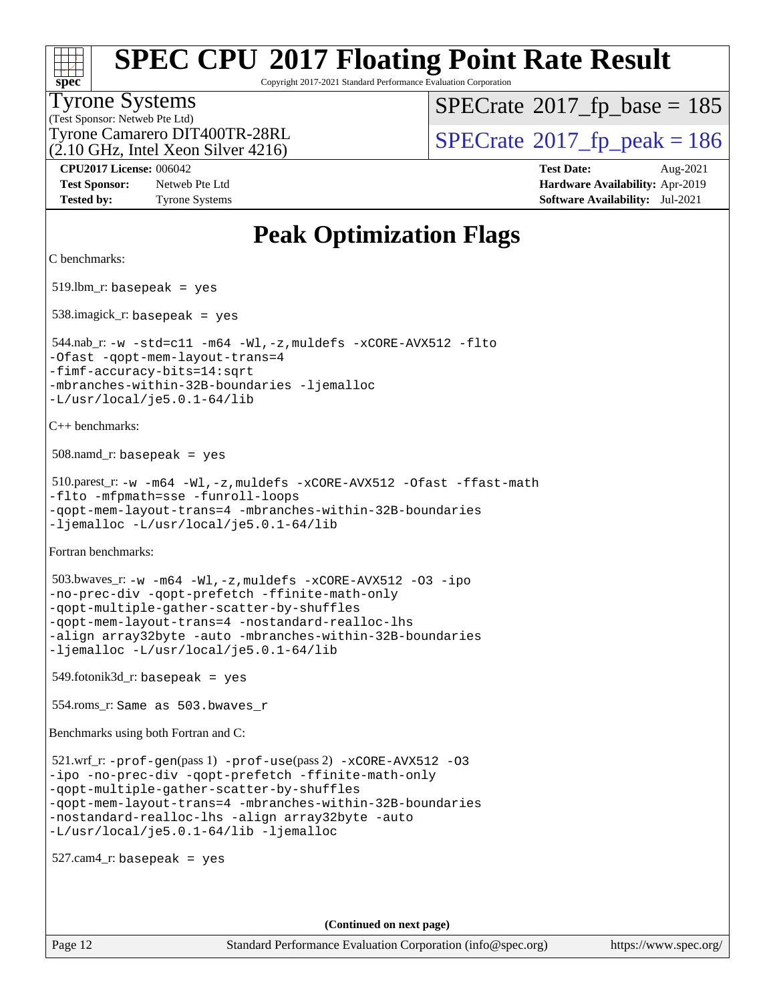| S<br>De<br>Ľ<br>١ |  |  |  |  |  |
|-------------------|--|--|--|--|--|

Copyright 2017-2021 Standard Performance Evaluation Corporation

#### Tyrone Systems

(Test Sponsor: Netweb Pte Ltd) (2.10 GHz, Intel Xeon Silver 4216)  $SPECTate$ <sup>®</sup>[2017\\_fp\\_base =](http://www.spec.org/auto/cpu2017/Docs/result-fields.html#SPECrate2017fpbase) 185

Tyrone Camarero DIT400TR-28RL  $\begin{array}{c|c}\n\text{SPECrate} \textcirc 2017\_fp\_peak = 186 \\
\hline\n\end{array}$  $\begin{array}{c|c}\n\text{SPECrate} \textcirc 2017\_fp\_peak = 186 \\
\hline\n\end{array}$  $\begin{array}{c|c}\n\text{SPECrate} \textcirc 2017\_fp\_peak = 186 \\
\hline\n\end{array}$ 

**[Test Sponsor:](http://www.spec.org/auto/cpu2017/Docs/result-fields.html#TestSponsor)** Netweb Pte Ltd **[Hardware Availability:](http://www.spec.org/auto/cpu2017/Docs/result-fields.html#HardwareAvailability)** Apr-2019 **[Tested by:](http://www.spec.org/auto/cpu2017/Docs/result-fields.html#Testedby)** Tyrone Systems **[Software Availability:](http://www.spec.org/auto/cpu2017/Docs/result-fields.html#SoftwareAvailability)** Jul-2021

**[CPU2017 License:](http://www.spec.org/auto/cpu2017/Docs/result-fields.html#CPU2017License)** 006042 **[Test Date:](http://www.spec.org/auto/cpu2017/Docs/result-fields.html#TestDate)** Aug-2021

### **[Peak Optimization Flags](http://www.spec.org/auto/cpu2017/Docs/result-fields.html#PeakOptimizationFlags)**

```
C benchmarks:
```
519.lbm\_r: basepeak = yes

538.imagick\_r: basepeak = yes

```
 544.nab_r: -w -std=c11 -m64 -Wl,-z,muldefs -xCORE-AVX512 -flto
-Ofast -qopt-mem-layout-trans=4
-fimf-accuracy-bits=14:sqrt
-mbranches-within-32B-boundaries -ljemalloc
-L/usr/local/je5.0.1-64/lib
```
[C++ benchmarks](http://www.spec.org/auto/cpu2017/Docs/result-fields.html#CXXbenchmarks):

 $508$ .namd\_r: basepeak = yes

```
 510.parest_r: -w -m64 -Wl,-z,muldefs -xCORE-AVX512 -Ofast -ffast-math
-flto -mfpmath=sse -funroll-loops
-qopt-mem-layout-trans=4 -mbranches-within-32B-boundaries
-ljemalloc -L/usr/local/je5.0.1-64/lib
```
[Fortran benchmarks:](http://www.spec.org/auto/cpu2017/Docs/result-fields.html#Fortranbenchmarks)

 503.bwaves\_r: [-w](http://www.spec.org/cpu2017/results/res2021q3/cpu2017-20210824-28885.flags.html#user_peakFCLD503_bwaves_r_supress_warning_66fb2c4e5c1dd10f38bdd29623979399e5ae75ae6e5453792d82ef66afed381df4a8602f92cac8d2ea0fffa7b93b4b1ccb9ecad4af01c9b2fe338b2082ae3859) [-m64](http://www.spec.org/cpu2017/results/res2021q3/cpu2017-20210824-28885.flags.html#user_peakFCLD503_bwaves_r_m64-icc) [-Wl,-z,muldefs](http://www.spec.org/cpu2017/results/res2021q3/cpu2017-20210824-28885.flags.html#user_peakEXTRA_LDFLAGS503_bwaves_r_link_force_multiple1_b4cbdb97b34bdee9ceefcfe54f4c8ea74255f0b02a4b23e853cdb0e18eb4525ac79b5a88067c842dd0ee6996c24547a27a4b99331201badda8798ef8a743f577) [-xCORE-AVX512](http://www.spec.org/cpu2017/results/res2021q3/cpu2017-20210824-28885.flags.html#user_peakFOPTIMIZE503_bwaves_r_f-xCORE-AVX512) [-O3](http://www.spec.org/cpu2017/results/res2021q3/cpu2017-20210824-28885.flags.html#user_peakFOPTIMIZE503_bwaves_r_f-O3) [-ipo](http://www.spec.org/cpu2017/results/res2021q3/cpu2017-20210824-28885.flags.html#user_peakFOPTIMIZE503_bwaves_r_f-ipo) [-no-prec-div](http://www.spec.org/cpu2017/results/res2021q3/cpu2017-20210824-28885.flags.html#user_peakFOPTIMIZE503_bwaves_r_f-no-prec-div) [-qopt-prefetch](http://www.spec.org/cpu2017/results/res2021q3/cpu2017-20210824-28885.flags.html#user_peakFOPTIMIZE503_bwaves_r_f-qopt-prefetch) [-ffinite-math-only](http://www.spec.org/cpu2017/results/res2021q3/cpu2017-20210824-28885.flags.html#user_peakFOPTIMIZE503_bwaves_r_f_finite_math_only_cb91587bd2077682c4b38af759c288ed7c732db004271a9512da14a4f8007909a5f1427ecbf1a0fb78ff2a814402c6114ac565ca162485bbcae155b5e4258871) [-qopt-multiple-gather-scatter-by-shuffles](http://www.spec.org/cpu2017/results/res2021q3/cpu2017-20210824-28885.flags.html#user_peakFOPTIMIZE503_bwaves_r_f-qopt-multiple-gather-scatter-by-shuffles) [-qopt-mem-layout-trans=4](http://www.spec.org/cpu2017/results/res2021q3/cpu2017-20210824-28885.flags.html#user_peakFOPTIMIZE503_bwaves_r_f-qopt-mem-layout-trans_fa39e755916c150a61361b7846f310bcdf6f04e385ef281cadf3647acec3f0ae266d1a1d22d972a7087a248fd4e6ca390a3634700869573d231a252c784941a8) [-nostandard-realloc-lhs](http://www.spec.org/cpu2017/results/res2021q3/cpu2017-20210824-28885.flags.html#user_peakEXTRA_FOPTIMIZE503_bwaves_r_f_2003_std_realloc_82b4557e90729c0f113870c07e44d33d6f5a304b4f63d4c15d2d0f1fab99f5daaed73bdb9275d9ae411527f28b936061aa8b9c8f2d63842963b95c9dd6426b8a) [-align array32byte](http://www.spec.org/cpu2017/results/res2021q3/cpu2017-20210824-28885.flags.html#user_peakEXTRA_FOPTIMIZE503_bwaves_r_align_array32byte_b982fe038af199962ba9a80c053b8342c548c85b40b8e86eb3cc33dee0d7986a4af373ac2d51c3f7cf710a18d62fdce2948f201cd044323541f22fc0fffc51b6) [-auto](http://www.spec.org/cpu2017/results/res2021q3/cpu2017-20210824-28885.flags.html#user_peakEXTRA_FOPTIMIZE503_bwaves_r_f-auto) [-mbranches-within-32B-boundaries](http://www.spec.org/cpu2017/results/res2021q3/cpu2017-20210824-28885.flags.html#user_peakEXTRA_FOPTIMIZE503_bwaves_r_f-mbranches-within-32B-boundaries) [-ljemalloc](http://www.spec.org/cpu2017/results/res2021q3/cpu2017-20210824-28885.flags.html#user_peakEXTRA_LIBS503_bwaves_r_jemalloc_link_lib_d1249b907c500fa1c0672f44f562e3d0f79738ae9e3c4a9c376d49f265a04b9c99b167ecedbf6711b3085be911c67ff61f150a17b3472be731631ba4d0471706) [-L/usr/local/je5.0.1-64/lib](http://www.spec.org/cpu2017/results/res2021q3/cpu2017-20210824-28885.flags.html#user_peakEXTRA_LIBS503_bwaves_r_jemalloc_link_path64_4b10a636b7bce113509b17f3bd0d6226c5fb2346b9178c2d0232c14f04ab830f976640479e5c33dc2bcbbdad86ecfb6634cbbd4418746f06f368b512fced5394)

 $549.$ fotonik $3d$ <sub>-</sub> $r:$  basepeak = yes

554.roms\_r: Same as 503.bwaves\_r

[Benchmarks using both Fortran and C](http://www.spec.org/auto/cpu2017/Docs/result-fields.html#BenchmarksusingbothFortranandC):

```
521.wrf_r: -prof-gen(pass 1) -prof-use(pass 2) -xCORE--O3
-ipo -no-prec-div -qopt-prefetch -ffinite-math-only
-qopt-multiple-gather-scatter-by-shuffles
-qopt-mem-layout-trans=4 -mbranches-within-32B-boundaries
-nostandard-realloc-lhs -align array32byte -auto
-L/usr/local/je5.0.1-64/lib -ljemalloc
```
527.cam4\_r: basepeak = yes

**(Continued on next page)**